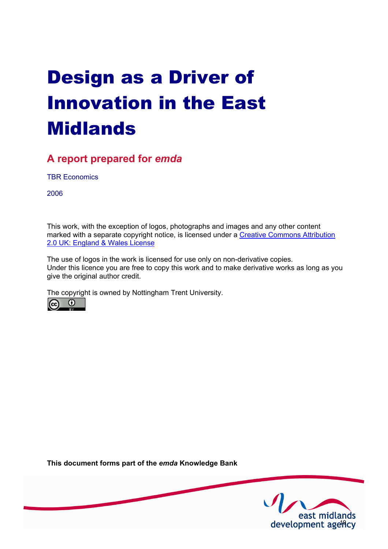# Design as a Driver of Innovation in the East Midlands

# **A report prepared for** *emda*

TBR Economics

2006

This work, with the exception of logos, photographs and images and any other content [marked with a separate copyright notice, is licensed under a Creative Commons Attribution](http://creativecommons.org/licenses/by/2.0/uk) 2.0 UK: England & Wales License

The use of logos in the work is licensed for use only on non-derivative copies. Under this licence you are free to copy this work and to make derivative works as long as you give the original author credit.

The copyright is owned by Nottingham Trent University.



**This document forms part of the** *emda* **Knowledge Bank** 

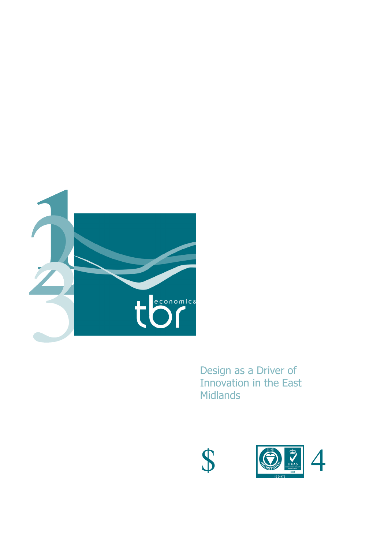

Design as a Driver of Innovation in the East Midlands



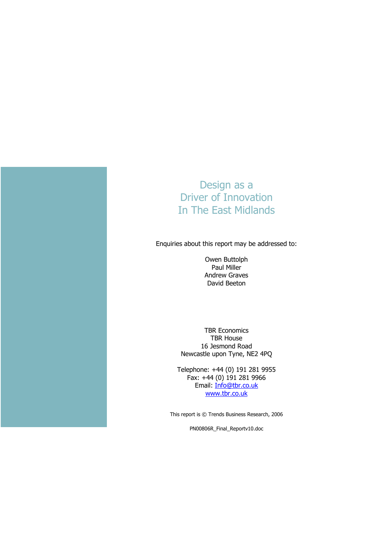

# Design as a Driver of Innovation In The East Midlands

Enquiries about this report may be addressed to:

Owen Buttolph Paul Miller Andrew Graves David Beeton

TBR Economics TBR House 16 Jesmond Road Newcastle upon Tyne, NE2 4PQ

Telephone: +44 (0) 191 281 9955 Fax: +44 (0) 191 281 9966 Email: Info@tbr.co.uk www.tbr.co.uk

This report is © Trends Business Research, 2006

PN00806R\_Final\_Reportv10.doc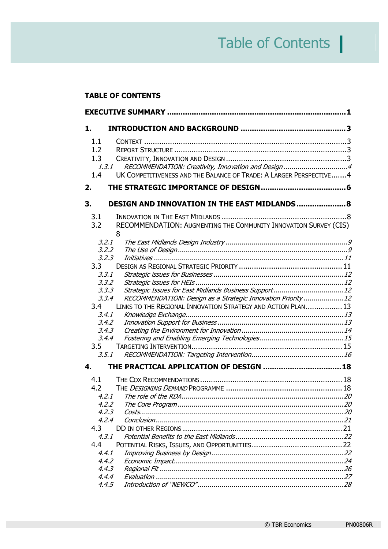# Table of Contents **|**

#### **TABLE OF CONTENTS**

| 1.                       |                                                                                                                                                                   |  |  |
|--------------------------|-------------------------------------------------------------------------------------------------------------------------------------------------------------------|--|--|
| 1.1<br>1.2<br>1.3<br>1.4 | RECOMMENDATION: Creativity, Innovation and Design4<br>1, 3, 1<br>UK COMPETITIVENESS AND THE BALANCE OF TRADE: A LARGER PERSPECTIVE 4                              |  |  |
| 2.                       |                                                                                                                                                                   |  |  |
| 3.                       | DESIGN AND INNOVATION IN THE EAST MIDLANDS 8                                                                                                                      |  |  |
| 3.1<br>3.2               | RECOMMENDATION: AUGMENTING THE COMMUNITY INNOVATION SURVEY (CIS)<br>8<br>3.2.1<br>3.2.2                                                                           |  |  |
| 3.3 <sub>2</sub>         | 3.2.3<br>3.3.1<br>3,3,2                                                                                                                                           |  |  |
| 3.4                      | 3.3.3<br>RECOMMENDATION: Design as a Strategic Innovation Priority  12<br>3.3.4<br>LINKS TO THE REGIONAL INNOVATION STRATEGY AND ACTION PLAN 13<br>3.4.1<br>3.4.2 |  |  |
| 3.5                      | 3.4.3<br>3.4.4<br>3.5.1                                                                                                                                           |  |  |
| 4.                       | THE PRACTICAL APPLICATION OF DESIGN  18                                                                                                                           |  |  |
| 4.1<br>4.2               | 4.2.1 The role of the RDA.<br>4.2.2<br>4.2.3<br>4.2.4                                                                                                             |  |  |
| 4.3<br>4.4               | 4.3.1<br>4.4.1                                                                                                                                                    |  |  |
|                          | 4.4.2<br>4.4.3<br>4.4.4<br>4.4.5                                                                                                                                  |  |  |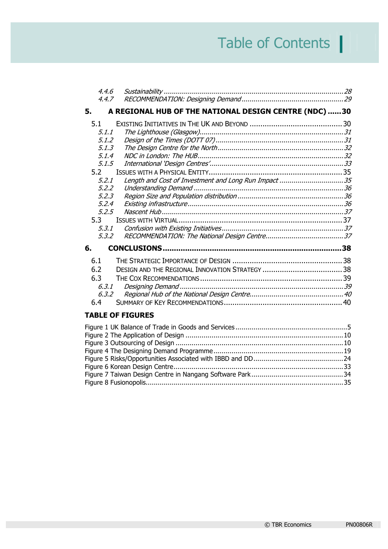# Table of Contents **|**

| 4.4.6   |                                                       |  |
|---------|-------------------------------------------------------|--|
| 4.4.7   |                                                       |  |
| 5.      | A REGIONAL HUB OF THE NATIONAL DESIGN CENTRE (NDC) 30 |  |
| 5.1     |                                                       |  |
| 5.1.1   |                                                       |  |
| 5.1.2   |                                                       |  |
| 5.1.3   |                                                       |  |
| 5.1.4   |                                                       |  |
| 5.1.5   |                                                       |  |
| 5.2     |                                                       |  |
| 5.2.1   | Length and Cost of Investment and Long Run Impact 35  |  |
| 5.2.2   |                                                       |  |
| 5,2,3   |                                                       |  |
| 5.2.4   |                                                       |  |
| 5.2.5   |                                                       |  |
| 5.3     |                                                       |  |
| 5.3.1   |                                                       |  |
| 5.3.2   |                                                       |  |
| 6.      |                                                       |  |
| 6.1     |                                                       |  |
| 6.2     |                                                       |  |
| 6.3     |                                                       |  |
| 6.3.1   |                                                       |  |
| 6, 3, 2 |                                                       |  |
| 6.4     |                                                       |  |
|         | <b>TABLE OF FIGURES</b>                               |  |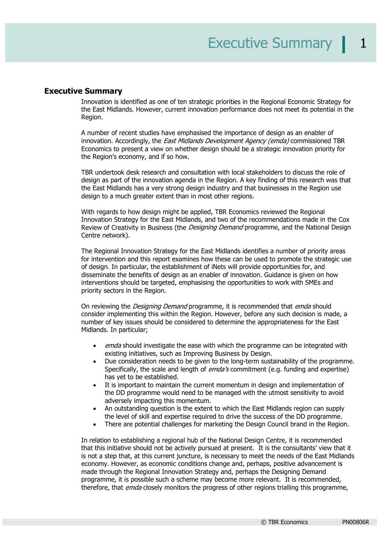#### **Executive Summary**

Innovation is identified as one of ten strategic priorities in the Regional Economic Strategy for the East Midlands. However, current innovation performance does not meet its potential in the Region.

A number of recent studies have emphasised the importance of design as an enabler of innovation. Accordingly, the *East Midlands Development Agency (emda)* commissioned TBR Economics to present a view on whether design should be a strategic innovation priority for the Region's economy, and if so how.

TBR undertook desk research and consultation with local stakeholders to discuss the role of design as part of the innovation agenda in the Region. A key finding of this research was that the East Midlands has a very strong design industry and that businesses in the Region use design to a much greater extent than in most other regions.

With regards to how design might be applied, TBR Economics reviewed the Regional Innovation Strategy for the East Midlands, and two of the recommendations made in the Cox Review of Creativity in Business (the *Designing Demand* programme, and the National Design Centre network).

The Regional Innovation Strategy for the East Midlands identifies a number of priority areas for intervention and this report examines how these can be used to promote the strategic use of design. In particular, the establishment of iNets will provide opportunities for, and disseminate the benefits of design as an enabler of innovation. Guidance is given on how interventions should be targeted, emphasising the opportunities to work with SMEs and priority sectors in the Region.

On reviewing the *Designing Demand* programme, it is recommended that *emda* should consider implementing this within the Region. However, before any such decision is made, a number of key issues should be considered to determine the appropriateness for the East Midlands. In particular;

- emda should investigate the ease with which the programme can be integrated with existing initiatives, such as Improving Business by Design.
- Due consideration needs to be given to the long-term sustainability of the programme. Specifically, the scale and length of *emda's* commitment (e.g. funding and expertise) has yet to be established.
- It is important to maintain the current momentum in design and implementation of the DD programme would need to be managed with the utmost sensitivity to avoid adversely impacting this momentum.
- An outstanding question is the extent to which the East Midlands region can supply the level of skill and expertise required to drive the success of the DD programme.
- There are potential challenges for marketing the Design Council brand in the Region.

In relation to establishing a regional hub of the National Design Centre, it is recommended that this initiative should not be actively pursued at present. It is the consultants' view that it is not a step that, at this current juncture, is necessary to meet the needs of the East Midlands economy. However, as economic conditions change and, perhaps, positive advancement is made through the Regional Innovation Strategy and, perhaps the Designing Demand programme, it is possible such a scheme may become more relevant. It is recommended, therefore, that *emda* closely monitors the progress of other regions trialling this programme,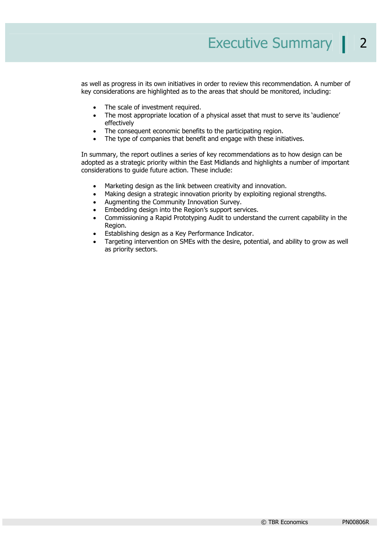as well as progress in its own initiatives in order to review this recommendation. A number of key considerations are highlighted as to the areas that should be monitored, including:

- The scale of investment required.
- The most appropriate location of a physical asset that must to serve its 'audience' effectively
- The consequent economic benefits to the participating region.
- The type of companies that benefit and engage with these initiatives.

In summary, the report outlines a series of key recommendations as to how design can be adopted as a strategic priority within the East Midlands and highlights a number of important considerations to guide future action. These include:

- Marketing design as the link between creativity and innovation.
- Making design a strategic innovation priority by exploiting regional strengths.
- Augmenting the Community Innovation Survey.
- Embedding design into the Region's support services.
- Commissioning a Rapid Prototyping Audit to understand the current capability in the Region.
- Establishing design as a Key Performance Indicator.
- Targeting intervention on SMEs with the desire, potential, and ability to grow as well as priority sectors.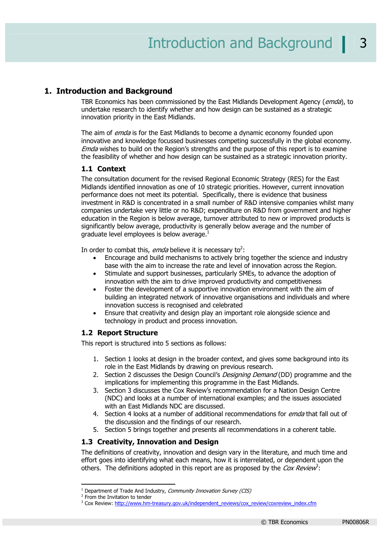#### **1. Introduction and Background**

TBR Economics has been commissioned by the East Midlands Development Agency (emda), to undertake research to identify whether and how design can be sustained as a strategic innovation priority in the East Midlands.

The aim of *emda* is for the East Midlands to become a dynamic economy founded upon innovative and knowledge focussed businesses competing successfully in the global economy. Emda wishes to build on the Region's strengths and the purpose of this report is to examine the feasibility of whether and how design can be sustained as a strategic innovation priority.

#### **1.1 Context**

The consultation document for the revised Regional Economic Strategy (RES) for the East Midlands identified innovation as one of 10 strategic priorities. However, current innovation performance does not meet its potential. Specifically, there is evidence that business investment in R&D is concentrated in a small number of R&D intensive companies whilst many companies undertake very little or no R&D; expenditure on R&D from government and higher education in the Region is below average, turnover attributed to new or improved products is significantly below average, productivity is generally below average and the number of graduate level employees is below average.<sup>1</sup>

In order to combat this, *emda* believe it is necessary to<sup>2</sup>:

- Encourage and build mechanisms to actively bring together the science and industry base with the aim to increase the rate and level of innovation across the Region.
- Stimulate and support businesses, particularly SMEs, to advance the adoption of innovation with the aim to drive improved productivity and competitiveness
- Foster the development of a supportive innovation environment with the aim of building an integrated network of innovative organisations and individuals and where innovation success is recognised and celebrated
- Ensure that creativity and design play an important role alongside science and technology in product and process innovation.

#### **1.2 Report Structure**

This report is structured into 5 sections as follows:

- 1. Section 1 looks at design in the broader context, and gives some background into its role in the East Midlands by drawing on previous research.
- 2. Section 2 discusses the Design Council's *Designing Demand* (DD) programme and the implications for implementing this programme in the East Midlands.
- 3. Section 3 discusses the Cox Review's recommendation for a Nation Design Centre (NDC) and looks at a number of international examples; and the issues associated with an East Midlands NDC are discussed.
- 4. Section 4 looks at a number of additional recommendations for *emda* that fall out of the discussion and the findings of our research.
- 5. Section 5 brings together and presents all recommendations in a coherent table.

#### **1.3 Creativity, Innovation and Design**

The definitions of creativity, innovation and design vary in the literature, and much time and effort goes into identifying what each means, how it is interrelated, or dependent upon the others. The definitions adopted in this report are as proposed by the Cox Review<sup>3</sup>:

<sup>&</sup>lt;sup>1</sup> Department of Trade And Industry, *Community Innovation Survey (CIS)* 

<sup>&</sup>lt;sup>2</sup> From the Invitation to tender

<sup>&</sup>lt;sup>3</sup> Cox Review: http://www.hm-treasury.gov.uk/independent\_reviews/cox\_review/coxreview\_index.cfm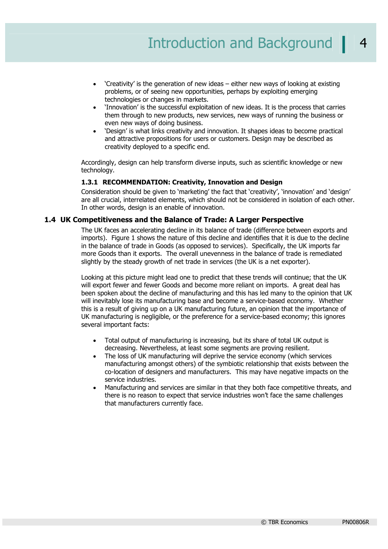- 'Creativity' is the generation of new ideas either new ways of looking at existing problems, or of seeing new opportunities, perhaps by exploiting emerging technologies or changes in markets.
- 'Innovation' is the successful exploitation of new ideas. It is the process that carries them through to new products, new services, new ways of running the business or even new ways of doing business.
- 'Design' is what links creativity and innovation. It shapes ideas to become practical and attractive propositions for users or customers. Design may be described as creativity deployed to a specific end.

Accordingly, design can help transform diverse inputs, such as scientific knowledge or new technology.

#### **1.3.1 RECOMMENDATION: Creativity, Innovation and Design**

Consideration should be given to 'marketing' the fact that 'creativity', 'innovation' and 'design' are all crucial, interrelated elements, which should not be considered in isolation of each other. In other words, design is an enable of innovation.

#### **1.4 UK Competitiveness and the Balance of Trade: A Larger Perspective**

The UK faces an accelerating decline in its balance of trade (difference between exports and imports). Figure 1 shows the nature of this decline and identifies that it is due to the decline in the balance of trade in Goods (as opposed to services). Specifically, the UK imports far more Goods than it exports. The overall unevenness in the balance of trade is remediated slightly by the steady growth of net trade in services (the UK is a net exporter).

Looking at this picture might lead one to predict that these trends will continue; that the UK will export fewer and fewer Goods and become more reliant on imports. A great deal has been spoken about the decline of manufacturing and this has led many to the opinion that UK will inevitably lose its manufacturing base and become a service-based economy. Whether this is a result of giving up on a UK manufacturing future, an opinion that the importance of UK manufacturing is negligible, or the preference for a service-based economy; this ignores several important facts:

- Total output of manufacturing is increasing, but its share of total UK output is decreasing. Nevertheless, at least some segments are proving resilient.
- The loss of UK manufacturing will deprive the service economy (which services manufacturing amongst others) of the symbiotic relationship that exists between the co-location of designers and manufacturers. This may have negative impacts on the service industries.
- Manufacturing and services are similar in that they both face competitive threats, and there is no reason to expect that service industries won't face the same challenges that manufacturers currently face.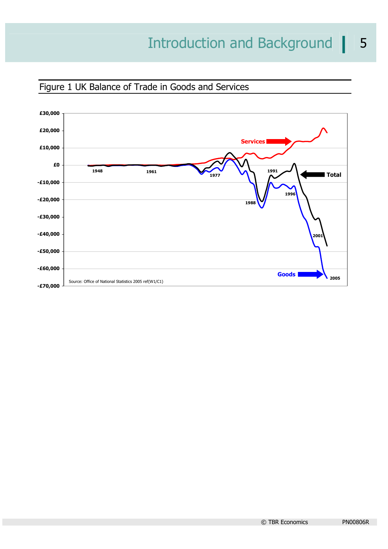

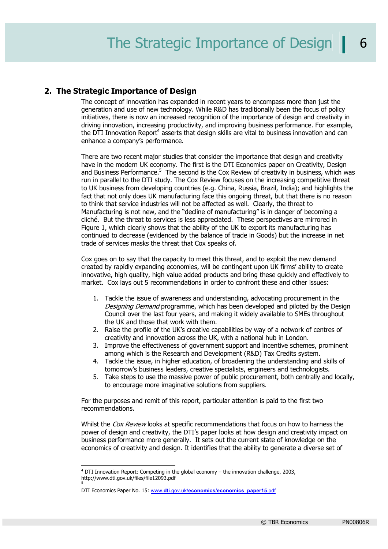#### **2. The Strategic Importance of Design**

The concept of innovation has expanded in recent years to encompass more than just the generation and use of new technology. While R&D has traditionally been the focus of policy initiatives, there is now an increased recognition of the importance of design and creativity in driving innovation, increasing productivity, and improving business performance. For example, the DTI Innovation Report<sup>4</sup> asserts that design skills are vital to business innovation and can enhance a company's performance.

There are two recent major studies that consider the importance that design and creativity have in the modern UK economy. The first is the DTI Economics paper on Creativity, Design and Business Performance.<sup>5</sup> The second is the Cox Review of creativity in business, which was run in parallel to the DTI study. The Cox Review focuses on the increasing competitive threat to UK business from developing countries (e.g. China, Russia, Brazil, India); and highlights the fact that not only does UK manufacturing face this ongoing threat, but that there is no reason to think that service industries will not be affected as well. Clearly, the threat to Manufacturing is not new, and the "decline of manufacturing" is in danger of becoming a cliché. But the threat to services is less appreciated. These perspectives are mirrored in Figure 1, which clearly shows that the ability of the UK to export its manufacturing has continued to decrease (evidenced by the balance of trade in Goods) but the increase in net trade of services masks the threat that Cox speaks of.

Cox goes on to say that the capacity to meet this threat, and to exploit the new demand created by rapidly expanding economies, will be contingent upon UK firms' ability to create innovative, high quality, high value added products and bring these quickly and effectively to market. Cox lays out 5 recommendations in order to confront these and other issues:

- 1. Tackle the issue of awareness and understanding, advocating procurement in the Designing Demand programme, which has been developed and piloted by the Design Council over the last four years, and making it widely available to SMEs throughout the UK and those that work with them.
- 2. Raise the profile of the UK's creative capabilities by way of a network of centres of creativity and innovation across the UK, with a national hub in London.
- 3. Improve the effectiveness of government support and incentive schemes, prominent among which is the Research and Development (R&D) Tax Credits system.
- 4. Tackle the issue, in higher education, of broadening the understanding and skills of tomorrow's business leaders, creative specialists, engineers and technologists.
- 5. Take steps to use the massive power of public procurement, both centrally and locally, to encourage more imaginative solutions from suppliers.

For the purposes and remit of this report, particular attention is paid to the first two recommendations.

Whilst the Cox Review looks at specific recommendations that focus on how to harness the power of design and creativity, the DTI's paper looks at how design and creativity impact on business performance more generally. It sets out the current state of knowledge on the economics of creativity and design. It identifies that the ability to generate a diverse set of

<sup>4</sup> DTI Innovation Report: Competing in the global economy – the innovation challenge, 2003, http://www.dti.gov.uk/files/file12093.pdf

DTI Economics Paper No. 15: www.**dti**.gov.uk/**economics**/**economics**\_**paper15**.pdf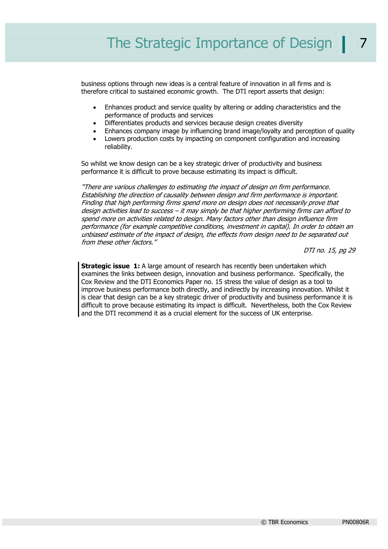business options through new ideas is a central feature of innovation in all firms and is therefore critical to sustained economic growth. The DTI report asserts that design:

- Enhances product and service quality by altering or adding characteristics and the performance of products and services
- Differentiates products and services because design creates diversity
- Enhances company image by influencing brand image/loyalty and perception of quality
- Lowers production costs by impacting on component configuration and increasing reliability.

So whilst we know design can be a key strategic driver of productivity and business performance it is difficult to prove because estimating its impact is difficult.

"There are various challenges to estimating the impact of design on firm performance. Establishing the direction of causality between design and firm performance is important. Finding that high performing firms spend more on design does not necessarily prove that design activities lead to success – it may simply be that higher performing firms can afford to spend more on activities related to design. Many factors other than design influence firm performance (for example competitive conditions, investment in capital). In order to obtain an unbiased estimate of the impact of design, the effects from design need to be separated out from these other factors."

DTI no. 15, pg 29

**Strategic issue 1:** A large amount of research has recently been undertaken which examines the links between design, innovation and business performance. Specifically, the Cox Review and the DTI Economics Paper no. 15 stress the value of design as a tool to improve business performance both directly, and indirectly by increasing innovation. Whilst it is clear that design can be a key strategic driver of productivity and business performance it is difficult to prove because estimating its impact is difficult. Nevertheless, both the Cox Review and the DTI recommend it as a crucial element for the success of UK enterprise.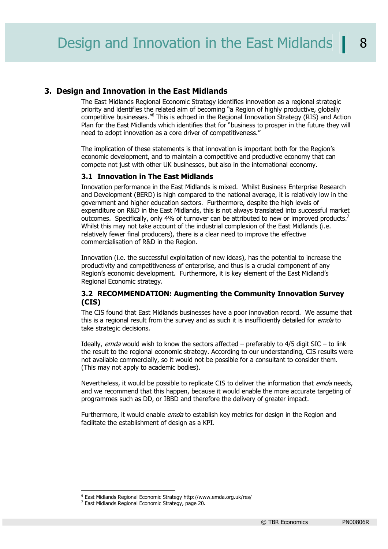#### **3. Design and Innovation in the East Midlands**

The East Midlands Regional Economic Strategy identifies innovation as a regional strategic priority and identifies the related aim of becoming "a Region of highly productive, globally competitive businesses."<sup>6</sup> This is echoed in the Regional Innovation Strategy (RIS) and Action Plan for the East Midlands which identifies that for "business to prosper in the future they will need to adopt innovation as a core driver of competitiveness."

The implication of these statements is that innovation is important both for the Region's economic development, and to maintain a competitive and productive economy that can compete not just with other UK businesses, but also in the international economy.

#### **3.1 Innovation in The East Midlands**

Innovation performance in the East Midlands is mixed. Whilst Business Enterprise Research and Development (BERD) is high compared to the national average, it is relatively low in the government and higher education sectors. Furthermore, despite the high levels of expenditure on R&D in the East Midlands, this is not always translated into successful market outcomes. Specifically, only 4% of turnover can be attributed to new or improved products. Whilst this may not take account of the industrial complexion of the East Midlands (i.e. relatively fewer final producers), there is a clear need to improve the effective commercialisation of R&D in the Region.

Innovation (i.e. the successful exploitation of new ideas), has the potential to increase the productivity and competitiveness of enterprise, and thus is a crucial component of any Region's economic development. Furthermore, it is key element of the East Midland's Regional Economic strategy.

#### **3.2 RECOMMENDATION: Augmenting the Community Innovation Survey (CIS)**

The CIS found that East Midlands businesses have a poor innovation record. We assume that this is a regional result from the survey and as such it is insufficiently detailed for *emda* to take strategic decisions.

Ideally, *emda* would wish to know the sectors affected – preferably to  $4/5$  digit SIC – to link the result to the regional economic strategy. According to our understanding, CIS results were not available commercially, so it would not be possible for a consultant to consider them. (This may not apply to academic bodies).

Nevertheless, it would be possible to replicate CIS to deliver the information that *emda* needs, and we recommend that this happen, because it would enable the more accurate targeting of programmes such as DD, or IBBD and therefore the delivery of greater impact.

Furthermore, it would enable *emda* to establish key metrics for design in the Region and facilitate the establishment of design as a KPI.

<sup>&</sup>lt;sup>6</sup> East Midlands Regional Economic Strategy http://www.emda.org.uk/res/<br><sup>7</sup> East Midlands Regional Economic Strategy, page 20

<sup>&</sup>lt;sup>7</sup> East Midlands Regional Economic Strategy, page 20.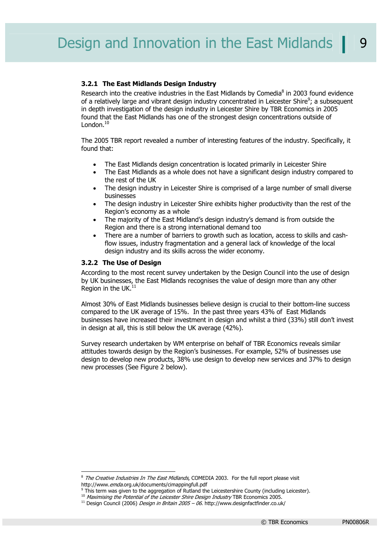#### **3.2.1 The East Midlands Design Industry**

Research into the creative industries in the East Midlands by Comedia $8$  in 2003 found evidence of a relatively large and vibrant design industry concentrated in Leicester Shire<sup>9</sup>; a subsequent in depth investigation of the design industry in Leicester Shire by TBR Economics in 2005 found that the East Midlands has one of the strongest design concentrations outside of London. $10$ 

The 2005 TBR report revealed a number of interesting features of the industry. Specifically, it found that:

- The East Midlands design concentration is located primarily in Leicester Shire
- The East Midlands as a whole does not have a significant design industry compared to the rest of the UK
- The design industry in Leicester Shire is comprised of a large number of small diverse businesses
- The design industry in Leicester Shire exhibits higher productivity than the rest of the Region's economy as a whole
- The majority of the East Midland's design industry's demand is from outside the Region and there is a strong international demand too
- There are a number of barriers to growth such as location, access to skills and cashflow issues, industry fragmentation and a general lack of knowledge of the local design industry and its skills across the wider economy.

#### **3.2.2 The Use of Design**

According to the most recent survey undertaken by the Design Council into the use of design by UK businesses, the East Midlands recognises the value of design more than any other Region in the UK.<sup>11</sup>

Almost 30% of East Midlands businesses believe design is crucial to their bottom-line success compared to the UK average of 15%. In the past three years 43% of East Midlands businesses have increased their investment in design and whilst a third (33%) still don't invest in design at all, this is still below the UK average (42%).

Survey research undertaken by WM enterprise on behalf of TBR Economics reveals similar attitudes towards design by the Region's businesses. For example, 52% of businesses use design to develop new products, 38% use design to develop new services and 37% to design new processes (See Figure 2 below).

<sup>-</sup><sup>8</sup> The Creative Industries In The East Midlands, COMEDIA 2003. For the full report please visit http://www.*emda.*org.uk/documents/cimappingfull.pdf<br><sup>9</sup> This term was given to the aggregation of Rutland the Leicestershire County (including Leicester).

Maximising the Potential of the Leicester Shire Design Industry TBR Economics 2005.<br><sup>11</sup> Design Council (2006) Design in Britain 2005 – 06. http://www.designfactfinder.co.uk/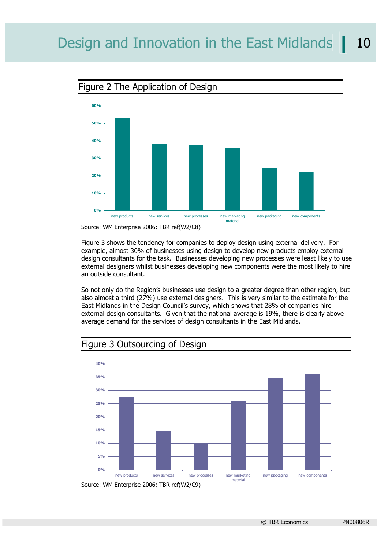

Figure 2 The Application of Design

Figure 3 shows the tendency for companies to deploy design using external delivery. For example, almost 30% of businesses using design to develop new products employ external design consultants for the task. Businesses developing new processes were least likely to use external designers whilst businesses developing new components were the most likely to hire an outside consultant.

So not only do the Region's businesses use design to a greater degree than other region, but also almost a third (27%) use external designers. This is very similar to the estimate for the East Midlands in the Design Council's survey, which shows that 28% of companies hire external design consultants. Given that the national average is 19%, there is clearly above average demand for the services of design consultants in the East Midlands.

## Figure 3 Outsourcing of Design



Source: WM Enterprise 2006; TBR ref(W2/C9)

Source: WM Enterprise 2006; TBR ref(W2/C8)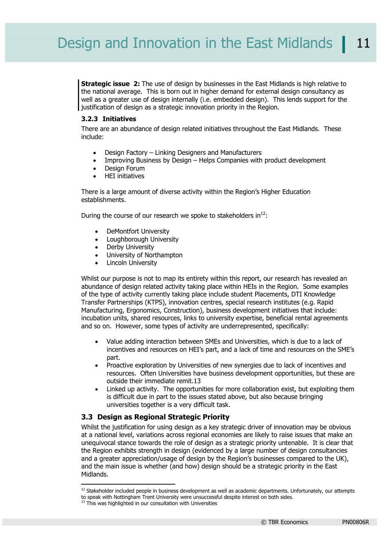**Strategic issue 2:** The use of design by businesses in the East Midlands is high relative to the national average. This is born out in higher demand for external design consultancy as well as a greater use of design internally (i.e. embedded design). This lends support for the justification of design as a strategic innovation priority in the Region.

#### **3.2.3 Initiatives**

There are an abundance of design related initiatives throughout the East Midlands. These include:

- Design Factory Linking Designers and Manufacturers
- Improving Business by Design Helps Companies with product development
- Design Forum
- HEI initiatives

There is a large amount of diverse activity within the Region's Higher Education establishments.

During the course of our research we spoke to stakeholders in $^{12}$ :

- DeMontfort University
- Loughborough University
- Derby University
- University of Northampton
- **Lincoln University**

Whilst our purpose is not to map its entirety within this report, our research has revealed an abundance of design related activity taking place within HEIs in the Region. Some examples of the type of activity currently taking place include student Placements, DTI Knowledge Transfer Partnerships (KTPS), innovation centres, special research institutes (e.g. Rapid Manufacturing, Ergonomics, Construction), business development initiatives that include: incubation units, shared resources, links to university expertise, beneficial rental agreements and so on. However, some types of activity are underrepresented, specifically:

- Value adding interaction between SMEs and Universities, which is due to a lack of incentives and resources on HEI's part, and a lack of time and resources on the SME's part.
- Proactive exploration by Universities of new synergies due to lack of incentives and resources. Often Universities have business development opportunities, but these are outside their immediate remit.13
- Linked up activity. The opportunities for more collaboration exist, but exploiting them is difficult due in part to the issues stated above, but also because bringing universities together is a very difficult task.

#### **3.3 Design as Regional Strategic Priority**

Whilst the justification for using design as a key strategic driver of innovation may be obvious at a national level, variations across regional economies are likely to raise issues that make an unequivocal stance towards the role of design as a strategic priority untenable. It is clear that the Region exhibits strength in design (evidenced by a large number of design consultancies and a greater appreciation/usage of design by the Region's businesses compared to the UK), and the main issue is whether (and how) design should be a strategic priority in the East Midlands.

 $12$  Stakeholder included people in business development as well as academic departments. Unfortunately, our attempts

to speak with Nottingham Trent University were unsuccessful despite interest on both sides.

 $13$  This was highlighted in our consultation with Universities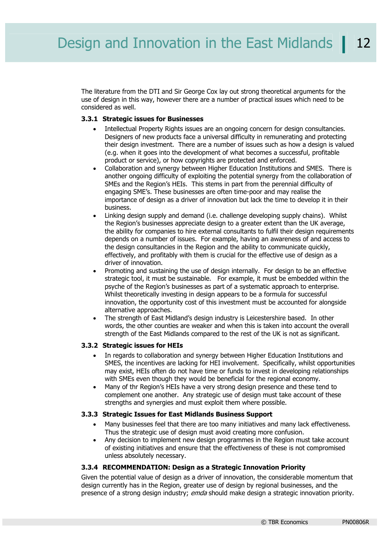The literature from the DTI and Sir George Cox lay out strong theoretical arguments for the use of design in this way, however there are a number of practical issues which need to be considered as well.

#### **3.3.1 Strategic issues for Businesses**

- Intellectual Property Rights issues are an ongoing concern for design consultancies. Designers of new products face a universal difficulty in remunerating and protecting their design investment. There are a number of issues such as how a design is valued (e.g. when it goes into the development of what becomes a successful, profitable product or service), or how copyrights are protected and enforced.
- Collaboration and synergy between Higher Education Institutions and SMES. There is another ongoing difficulty of exploiting the potential synergy from the collaboration of SMEs and the Region's HEIs. This stems in part from the perennial difficulty of engaging SME's. These businesses are often time-poor and may realise the importance of design as a driver of innovation but lack the time to develop it in their business.
- Linking design supply and demand (i.e. challenge developing supply chains). Whilst the Region's businesses appreciate design to a greater extent than the UK average, the ability for companies to hire external consultants to fulfil their design requirements depends on a number of issues. For example, having an awareness of and access to the design consultancies in the Region and the ability to communicate quickly, effectively, and profitably with them is crucial for the effective use of design as a driver of innovation.
- Promoting and sustaining the use of design internally. For design to be an effective strategic tool, it must be sustainable. For example, it must be embedded within the psyche of the Region's businesses as part of a systematic approach to enterprise. Whilst theoretically investing in design appears to be a formula for successful innovation, the opportunity cost of this investment must be accounted for alongside alternative approaches.
- The strength of East Midland's design industry is Leicestershire based. In other words, the other counties are weaker and when this is taken into account the overall strength of the East Midlands compared to the rest of the UK is not as significant.

#### **3.3.2 Strategic issues for HEIs**

- In regards to collaboration and synergy between Higher Education Institutions and SMES, the incentives are lacking for HEI involvement. Specifically, whilst opportunities may exist, HEIs often do not have time or funds to invest in developing relationships with SMEs even though they would be beneficial for the regional economy.
- Many of thr Region's HEIs have a very strong design presence and these tend to complement one another. Any strategic use of design must take account of these strengths and synergies and must exploit them where possible.

#### **3.3.3 Strategic Issues for East Midlands Business Support**

- Many businesses feel that there are too many initiatives and many lack effectiveness. Thus the strategic use of design must avoid creating more confusion.
- Any decision to implement new design programmes in the Region must take account of existing initiatives and ensure that the effectiveness of these is not compromised unless absolutely necessary.

#### **3.3.4 RECOMMENDATION: Design as a Strategic Innovation Priority**

Given the potential value of design as a driver of innovation, the considerable momentum that design currently has in the Region, greater use of design by regional businesses, and the presence of a strong design industry; emda should make design a strategic innovation priority.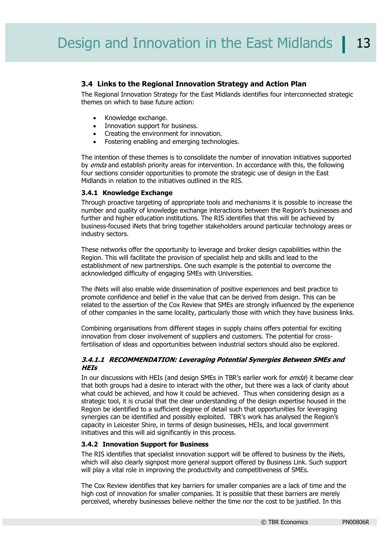#### **3.4 Links to the Regional Innovation Strategy and Action Plan**

The Regional Innovation Strategy for the East Midlands identifies four interconnected strategic themes on which to base future action:

- Knowledge exchange.
- Innovation support for business.
- Creating the environment for innovation.
- Fostering enabling and emerging technologies.

The intention of these themes is to consolidate the number of innovation initiatives supported by emda and establish priority areas for intervention. In accordance with this, the following four sections consider opportunities to promote the strategic use of design in the East Midlands in relation to the initiatives outlined in the RIS.

#### **3.4.1 Knowledge Exchange**

Through proactive targeting of appropriate tools and mechanisms it is possible to increase the number and quality of knowledge exchange interactions between the Region's businesses and further and higher education institutions. The RIS identifies that this will be achieved by business-focused iNets that bring together stakeholders around particular technology areas or industry sectors.

These networks offer the opportunity to leverage and broker design capabilities within the Region. This will facilitate the provision of specialist help and skills and lead to the establishment of new partnerships. One such example is the potential to overcome the acknowledged difficulty of engaging SMEs with Universities.

The iNets will also enable wide dissemination of positive experiences and best practice to promote confidence and belief in the value that can be derived from design. This can be related to the assertion of the Cox Review that SMEs are strongly influenced by the experience of other companies in the same locality, particularly those with which they have business links.

Combining organisations from different stages in supply chains offers potential for exciting innovation from closer involvement of suppliers and customers. The potential for crossfertilisation of ideas and opportunities between industrial sectors should also be explored.

#### **3.4.1.1 RECOMMENDATION: Leveraging Potential Synergies Between SMEs and HEIs**

In our discussions with HEIs (and design SMEs in TBR's earlier work for *emda*) it became clear that both groups had a desire to interact with the other, but there was a lack of clarity about what could be achieved, and how it could be achieved. Thus when considering design as a strategic tool, it is crucial that the clear understanding of the design expertise housed in the Region be identified to a sufficient degree of detail such that opportunities for leveraging synergies can be identified and possibly exploited. TBR's work has analysed the Region's capacity in Leicester Shire, in terms of design businesses, HEIs, and local government initiatives and this will aid significantly in this process.

#### **3.4.2 Innovation Support for Business**

The RIS identifies that specialist innovation support will be offered to business by the iNets, which will also clearly signpost more general support offered by Business Link. Such support will play a vital role in improving the productivity and competitiveness of SMEs.

The Cox Review identifies that key barriers for smaller companies are a lack of time and the high cost of innovation for smaller companies. It is possible that these barriers are merely perceived, whereby businesses believe neither the time nor the cost to be justified. In this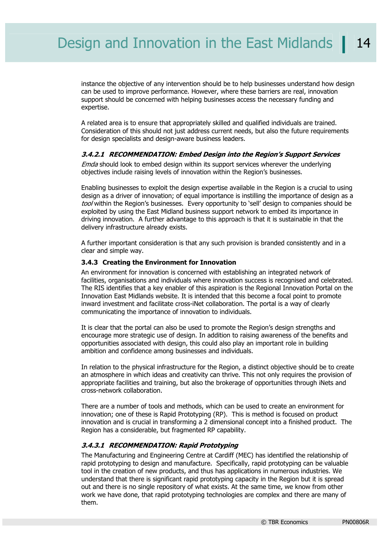instance the objective of any intervention should be to help businesses understand how design can be used to improve performance. However, where these barriers are real, innovation support should be concerned with helping businesses access the necessary funding and expertise.

A related area is to ensure that appropriately skilled and qualified individuals are trained. Consideration of this should not just address current needs, but also the future requirements for design specialists and design-aware business leaders.

#### **3.4.2.1 RECOMMENDATION: Embed Design into the Region's Support Services**

Emda should look to embed design within its support services wherever the underlying objectives include raising levels of innovation within the Region's businesses.

Enabling businesses to exploit the design expertise available in the Region is a crucial to using design as a driver of innovation; of equal importance is instilling the importance of design as a tool within the Region's businesses. Every opportunity to 'sell' design to companies should be exploited by using the East Midland business support network to embed its importance in driving innovation. A further advantage to this approach is that it is sustainable in that the delivery infrastructure already exists.

A further important consideration is that any such provision is branded consistently and in a clear and simple way.

#### **3.4.3 Creating the Environment for Innovation**

An environment for innovation is concerned with establishing an integrated network of facilities, organisations and individuals where innovation success is recognised and celebrated. The RIS identifies that a key enabler of this aspiration is the Regional Innovation Portal on the Innovation East Midlands website. It is intended that this become a focal point to promote inward investment and facilitate cross-iNet collaboration. The portal is a way of clearly communicating the importance of innovation to individuals.

It is clear that the portal can also be used to promote the Region's design strengths and encourage more strategic use of design. In addition to raising awareness of the benefits and opportunities associated with design, this could also play an important role in building ambition and confidence among businesses and individuals.

In relation to the physical infrastructure for the Region, a distinct objective should be to create an atmosphere in which ideas and creativity can thrive. This not only requires the provision of appropriate facilities and training, but also the brokerage of opportunities through iNets and cross-network collaboration.

There are a number of tools and methods, which can be used to create an environment for innovation; one of these is Rapid Prototyping (RP). This is method is focused on product innovation and is crucial in transforming a 2 dimensional concept into a finished product. The Region has a considerable, but fragmented RP capability.

#### **3.4.3.1 RECOMMENDATION: Rapid Prototyping**

The Manufacturing and Engineering Centre at Cardiff (MEC) has identified the relationship of rapid prototyping to design and manufacture. Specifically, rapid prototyping can be valuable tool in the creation of new products, and thus has applications in numerous industries. We understand that there is significant rapid prototyping capacity in the Region but it is spread out and there is no single repository of what exists. At the same time, we know from other work we have done, that rapid prototyping technologies are complex and there are many of them.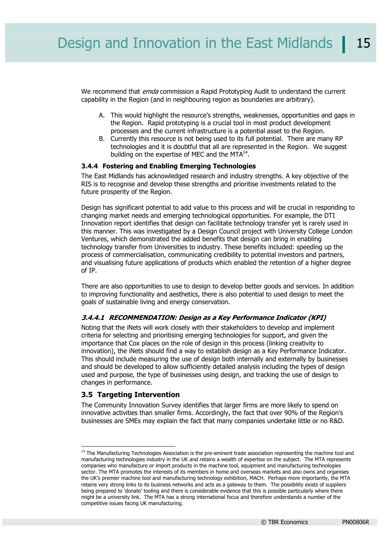We recommend that *emda* commission a Rapid Prototyping Audit to understand the current capability in the Region (and in neighbouring region as boundaries are arbitrary).

- A. This would highlight the resource's strengths, weaknesses, opportunities and gaps in the Region. Rapid prototyping is a crucial tool in most product development processes and the current infrastructure is a potential asset to the Region.
- B. Currently this resource is not being used to its full potential. There are many RP technologies and it is doubtful that all are represented in the Region. We suggest building on the expertise of MEC and the  $MTA<sup>14</sup>$ .

#### **3.4.4 Fostering and Enabling Emerging Technologies**

The East Midlands has acknowledged research and industry strengths. A key objective of the RIS is to recognise and develop these strengths and prioritise investments related to the future prosperity of the Region.

Design has significant potential to add value to this process and will be crucial in responding to changing market needs and emerging technological opportunities. For example, the DTI Innovation report identifies that design can facilitate technology transfer yet is rarely used in this manner. This was investigated by a Design Council project with University College London Ventures, which demonstrated the added benefits that design can bring in enabling technology transfer from Universities to industry. These benefits included: speeding up the process of commercialisation, communicating credibility to potential investors and partners, and visualising future applications of products which enabled the retention of a higher degree of IP.

There are also opportunities to use to design to develop better goods and services. In addition to improving functionality and aesthetics, there is also potential to used design to meet the goals of sustainable living and energy conservation.

#### **3.4.4.1 RECOMMENDATION: Design as a Key Performance Indicator (KPI)**

Noting that the iNets will work closely with their stakeholders to develop and implement criteria for selecting and prioritising emerging technologies for support, and given the importance that Cox places on the role of design in this process (linking creativity to innovation), the iNets should find a way to establish design as a Key Performance Indicator. This should include measuring the use of design both internally and externally by businesses and should be developed to allow sufficiently detailed analysis including the types of design used and purpose, the type of businesses using design, and tracking the use of design to changes in performance.

#### **3.5 Targeting Intervention**

-

The Community Innovation Survey identifies that larger firms are more likely to spend on innovative activities than smaller firms. Accordingly, the fact that over 90% of the Region's businesses are SMEs may explain the fact that many companies undertake little or no R&D.

<sup>&</sup>lt;sup>14</sup> The Manufacturing Technologies Association is the pre-eminent trade association representing the machine tool and manufacturing technologies industry in the UK and retains a wealth of expertise on the subject. The MTA represents companies who manufacture or import products in the machine tool, equipment and manufacturing technologies sector. The MTA promotes the interests of its members in home and overseas markets and also owns and organises the UK's premier machine tool and manufacturing technology exhibition, MACH. Perhaps more importantly, the MTA retains very strong links to its business networks and acts as a gateway to them. The possibility exists of suppliers being prepared to 'donate' tooling and there is considerable evidence that this is possible particularly where there might be a university link. The MTA has a strong international focus and therefore understands a number of the competitive issues facing UK manufacturing.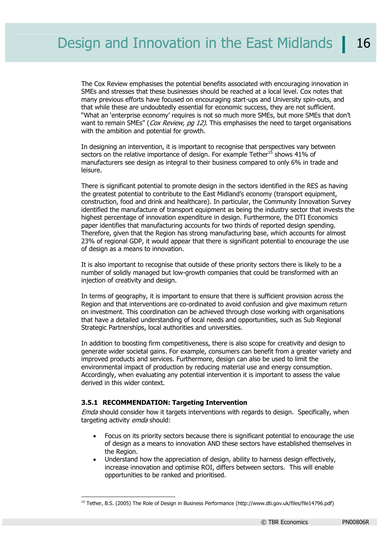The Cox Review emphasises the potential benefits associated with encouraging innovation in SMEs and stresses that these businesses should be reached at a local level. Cox notes that many previous efforts have focused on encouraging start-ups and University spin-outs, and that while these are undoubtedly essential for economic success, they are not sufficient. "What an 'enterprise economy' requires is not so much more SMEs, but more SMEs that don't want to remain SMEs" (Cox Review, pq 12). This emphasises the need to target organisations with the ambition and potential for growth.

In designing an intervention, it is important to recognise that perspectives vary between sectors on the relative importance of design. For example Tether<sup>15</sup> shows 41% of manufacturers see design as integral to their business compared to only 6% in trade and leisure.

There is significant potential to promote design in the sectors identified in the RES as having the greatest potential to contribute to the East Midland's economy (transport equipment, construction, food and drink and healthcare). In particular, the Community Innovation Survey identified the manufacture of transport equipment as being the industry sector that invests the highest percentage of innovation expenditure in design. Furthermore, the DTI Economics paper identifies that manufacturing accounts for two thirds of reported design spending. Therefore, given that the Region has strong manufacturing base, which accounts for almost 23% of regional GDP, it would appear that there is significant potential to encourage the use of design as a means to innovation.

It is also important to recognise that outside of these priority sectors there is likely to be a number of solidly managed but low-growth companies that could be transformed with an injection of creativity and design.

In terms of geography, it is important to ensure that there is sufficient provision across the Region and that interventions are co-ordinated to avoid confusion and give maximum return on investment. This coordination can be achieved through close working with organisations that have a detailed understanding of local needs and opportunities, such as Sub Regional Strategic Partnerships, local authorities and universities.

In addition to boosting firm competitiveness, there is also scope for creativity and design to generate wider societal gains. For example, consumers can benefit from a greater variety and improved products and services. Furthermore, design can also be used to limit the environmental impact of production by reducing material use and energy consumption. Accordingly, when evaluating any potential intervention it is important to assess the value derived in this wider context.

#### **3.5.1 RECOMMENDATION: Targeting Intervention**

1

Emda should consider how it targets interventions with regards to design. Specifically, when targeting activity emda should:

- Focus on its priority sectors because there is significant potential to encourage the use of design as a means to innovation AND these sectors have established themselves in the Region.
- Understand how the appreciation of design, ability to harness design effectively, increase innovation and optimise ROI, differs between sectors. This will enable opportunities to be ranked and prioritised.

<sup>&</sup>lt;sup>15</sup> Tether, B.S. (2005) The Role of Design in Business Performance (http://www.dti.gov.uk/files/file14796.pdf)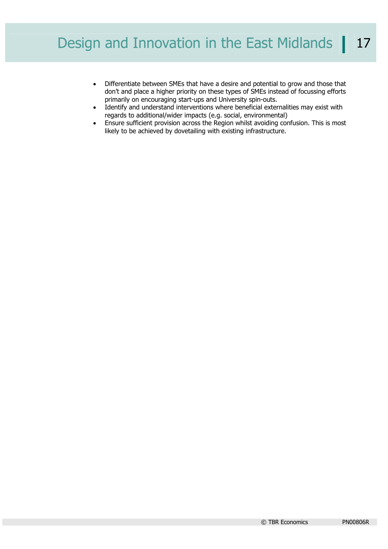- Differentiate between SMEs that have a desire and potential to grow and those that don't and place a higher priority on these types of SMEs instead of focussing efforts primarily on encouraging start-ups and University spin-outs.
- Identify and understand interventions where beneficial externalities may exist with regards to additional/wider impacts (e.g. social, environmental)
- Ensure sufficient provision across the Region whilst avoiding confusion. This is most likely to be achieved by dovetailing with existing infrastructure.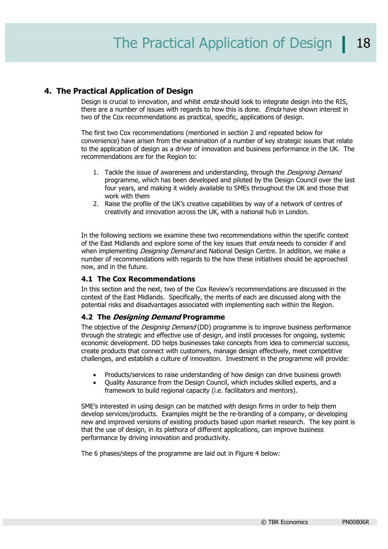#### **4. The Practical Application of Design**

Design is crucial to innovation, and whilst *emda* should look to integrate design into the RIS, there are a number of issues with regards to how this is done. *Emda* have shown interest in two of the Cox recommendations as practical, specific, applications of design.

The first two Cox recommendations (mentioned in section 2 and repeated below for convenience) have arisen from the examination of a number of key strategic issues that relate to the application of design as a driver of innovation and business performance in the UK. The recommendations are for the Region to:

- 1. Tackle the issue of awareness and understanding, through the *Designing Demand* programme, which has been developed and piloted by the Design Council over the last four years, and making it widely available to SMEs throughout the UK and those that work with them
- 2. Raise the profile of the UK's creative capabilities by way of a network of centres of creativity and innovation across the UK, with a national hub in London.

In the following sections we examine these two recommendations within the specific context of the East Midlands and explore some of the key issues that *emda* needs to consider if and when implementing *Designing Demand* and National Design Centre. In addition, we make a number of recommendations with regards to the how these initiatives should be approached now, and in the future.

#### **4.1 The Cox Recommendations**

In this section and the next, two of the Cox Review's recommendations are discussed in the context of the East Midlands. Specifically, the merits of each are discussed along with the potential risks and disadvantages associated with implementing each within the Region.

#### **4.2 The Designing Demand Programme**

The objective of the *Designing Demand* (DD) programme is to improve business performance through the strategic and effective use of design, and instil processes for ongoing, systemic economic development. DD helps businesses take concepts from idea to commercial success, create products that connect with customers, manage design effectively, meet competitive challenges, and establish a culture of innovation. Investment in the programme will provide:

- Products/services to raise understanding of how design can drive business growth
- Quality Assurance from the Design Council, which includes skilled experts, and a framework to build regional capacity (i.e. facilitators and mentors).

SME's interested in using design can be matched with design firms in order to help them develop services/products. Examples might be the re-branding of a company, or developing new and improved versions of existing products based upon market research. The key point is that the use of design, in its plethora of different applications, can improve business performance by driving innovation and productivity.

The 6 phases/steps of the programme are laid out in Figure 4 below: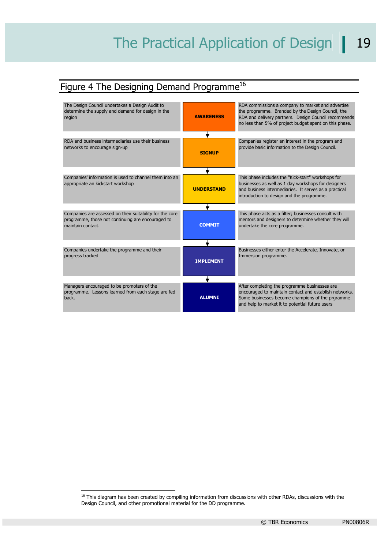# Figure 4 The Designing Demand Programme<sup>16</sup>



 $<sup>16</sup>$  This diagram has been created by compiling information from discussions with other RDAs, discussions with the</sup> Design Council, and other promotional material for the DD programme.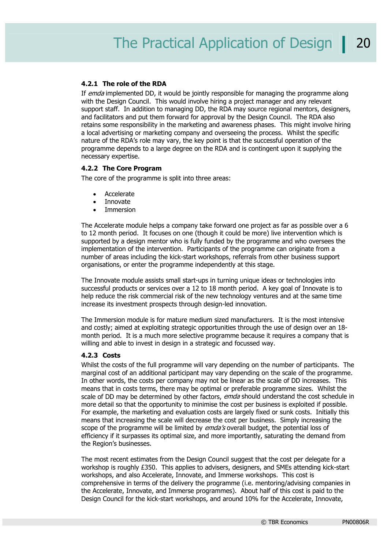#### **4.2.1 The role of the RDA**

If emda implemented DD, it would be jointly responsible for managing the programme along with the Design Council. This would involve hiring a project manager and any relevant support staff. In addition to managing DD, the RDA may source regional mentors, designers, and facilitators and put them forward for approval by the Design Council. The RDA also retains some responsibility in the marketing and awareness phases. This might involve hiring a local advertising or marketing company and overseeing the process. Whilst the specific nature of the RDA's role may vary, the key point is that the successful operation of the programme depends to a large degree on the RDA and is contingent upon it supplying the necessary expertise.

#### **4.2.2 The Core Program**

The core of the programme is split into three areas:

- **Accelerate**
- Innovate
- Immersion

The Accelerate module helps a company take forward one project as far as possible over a 6 to 12 month period. It focuses on one (though it could be more) live intervention which is supported by a design mentor who is fully funded by the programme and who oversees the implementation of the intervention. Participants of the programme can originate from a number of areas including the kick-start workshops, referrals from other business support organisations, or enter the programme independently at this stage.

The Innovate module assists small start-ups in turning unique ideas or technologies into successful products or services over a 12 to 18 month period. A key goal of Innovate is to help reduce the risk commercial risk of the new technology ventures and at the same time increase its investment prospects through design-led innovation.

The Immersion module is for mature medium sized manufacturers. It is the most intensive and costly; aimed at exploiting strategic opportunities through the use of design over an 18 month period. It is a much more selective programme because it requires a company that is willing and able to invest in design in a strategic and focussed way.

#### **4.2.3 Costs**

Whilst the costs of the full programme will vary depending on the number of participants. The marginal cost of an additional participant may vary depending on the scale of the programme. In other words, the costs per company may not be linear as the scale of DD increases. This means that in costs terms, there may be optimal or preferable programme sizes. Whilst the scale of DD may be determined by other factors, emda should understand the cost schedule in more detail so that the opportunity to minimise the cost per business is exploited if possible. For example, the marketing and evaluation costs are largely fixed or sunk costs. Initially this means that increasing the scale will decrease the cost per business. Simply increasing the scope of the programme will be limited by *emda's* overall budget, the potential loss of efficiency if it surpasses its optimal size, and more importantly, saturating the demand from the Region's businesses.

The most recent estimates from the Design Council suggest that the cost per delegate for a workshop is roughly £350. This applies to advisers, designers, and SMEs attending kick-start workshops, and also Accelerate, Innovate, and Immerse workshops. This cost is comprehensive in terms of the delivery the programme (i.e. mentoring/advising companies in the Accelerate, Innovate, and Immerse programmes). About half of this cost is paid to the Design Council for the kick-start workshops, and around 10% for the Accelerate, Innovate,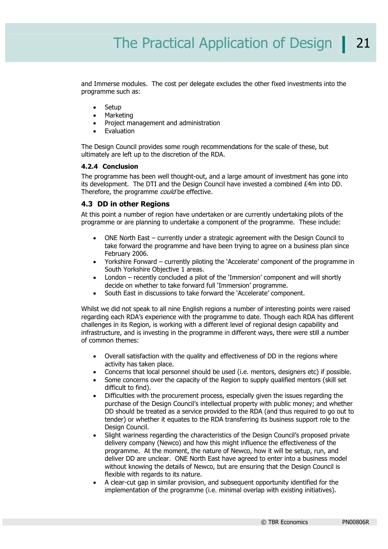and Immerse modules. The cost per delegate excludes the other fixed investments into the programme such as:

- Setup
- **Marketing**
- Project management and administration
- **Evaluation**

The Design Council provides some rough recommendations for the scale of these, but ultimately are left up to the discretion of the RDA.

#### **4.2.4 Conclusion**

The programme has been well thought-out, and a large amount of investment has gone into its development. The DTI and the Design Council have invested a combined £4m into DD. Therefore, the programme *could* be effective.

#### **4.3 DD in other Regions**

At this point a number of region have undertaken or are currently undertaking pilots of the programme or are planning to undertake a component of the programme. These include:

- ONE North East currently under a strategic agreement with the Design Council to take forward the programme and have been trying to agree on a business plan since February 2006.
- Yorkshire Forward currently piloting the 'Accelerate' component of the programme in South Yorkshire Objective 1 areas.
- London recently concluded a pilot of the 'Immersion' component and will shortly decide on whether to take forward full 'Immersion' programme.
- South East in discussions to take forward the 'Accelerate' component.

Whilst we did not speak to all nine English regions a number of interesting points were raised regarding each RDA's experience with the programme to date. Though each RDA has different challenges in its Region, is working with a different level of regional design capability and infrastructure, and is investing in the programme in different ways, there were still a number of common themes:

- Overall satisfaction with the quality and effectiveness of DD in the regions where activity has taken place.
- Concerns that local personnel should be used (i.e. mentors, designers etc) if possible.
- Some concerns over the capacity of the Region to supply qualified mentors (skill set difficult to find).
- Difficulties with the procurement process, especially given the issues regarding the purchase of the Design Council's intellectual property with public money; and whether DD should be treated as a service provided to the RDA (and thus required to go out to tender) or whether it equates to the RDA transferring its business support role to the Design Council.
- Slight wariness regarding the characteristics of the Design Council's proposed private delivery company (Newco) and how this might influence the effectiveness of the programme. At the moment, the nature of Newco, how it will be setup, run, and deliver DD are unclear. ONE North East have agreed to enter into a business model without knowing the details of Newco, but are ensuring that the Design Council is flexible with regards to its nature.
- A clear-cut gap in similar provision, and subsequent opportunity identified for the implementation of the programme (i.e. minimal overlap with existing initiatives).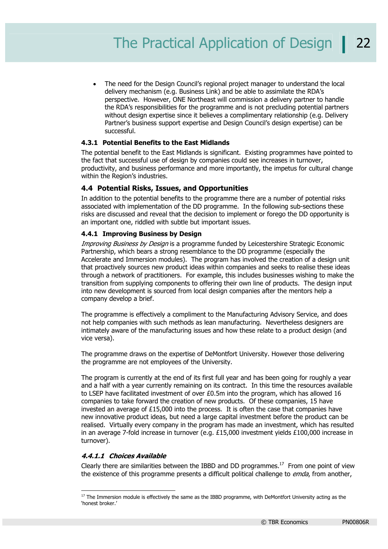• The need for the Design Council's regional project manager to understand the local delivery mechanism (e.g. Business Link) and be able to assimilate the RDA's perspective. However, ONE Northeast will commission a delivery partner to handle the RDA's responsibilities for the programme and is not precluding potential partners without design expertise since it believes a complimentary relationship (e.g. Delivery Partner's business support expertise and Design Council's design expertise) can be successful.

#### **4.3.1 Potential Benefits to the East Midlands**

The potential benefit to the East Midlands is significant. Existing programmes have pointed to the fact that successful use of design by companies could see increases in turnover, productivity, and business performance and more importantly, the impetus for cultural change within the Region's industries.

#### **4.4 Potential Risks, Issues, and Opportunities**

In addition to the potential benefits to the programme there are a number of potential risks associated with implementation of the DD programme. In the following sub-sections these risks are discussed and reveal that the decision to implement or forego the DD opportunity is an important one, riddled with subtle but important issues.

#### **4.4.1 Improving Business by Design**

Improving Business by Design is a programme funded by Leicestershire Strategic Economic Partnership, which bears a strong resemblance to the DD programme (especially the Accelerate and Immersion modules). The program has involved the creation of a design unit that proactively sources new product ideas within companies and seeks to realise these ideas through a network of practitioners. For example, this includes businesses wishing to make the transition from supplying components to offering their own line of products. The design input into new development is sourced from local design companies after the mentors help a company develop a brief.

The programme is effectively a compliment to the Manufacturing Advisory Service, and does not help companies with such methods as lean manufacturing. Nevertheless designers are intimately aware of the manufacturing issues and how these relate to a product design (and vice versa).

The programme draws on the expertise of DeMontfort University. However those delivering the programme are not employees of the University.

The program is currently at the end of its first full year and has been going for roughly a year and a half with a year currently remaining on its contract. In this time the resources available to LSEP have facilitated investment of over £0.5m into the program, which has allowed 16 companies to take forward the creation of new products. Of these companies, 15 have invested an average of  $£15,000$  into the process. It is often the case that companies have new innovative product ideas, but need a large capital investment before the product can be realised. Virtually every company in the program has made an investment, which has resulted in an average 7-fold increase in turnover (e.g. £15,000 investment yields £100,000 increase in turnover).

#### **4.4.1.1 Choices Available**

1

Clearly there are similarities between the IBBD and DD programmes.<sup>17</sup> From one point of view the existence of this programme presents a difficult political challenge to *emda*, from another,

 $17$  The Immersion module is effectively the same as the IBBD programme, with DeMontfort University acting as the 'honest broker.'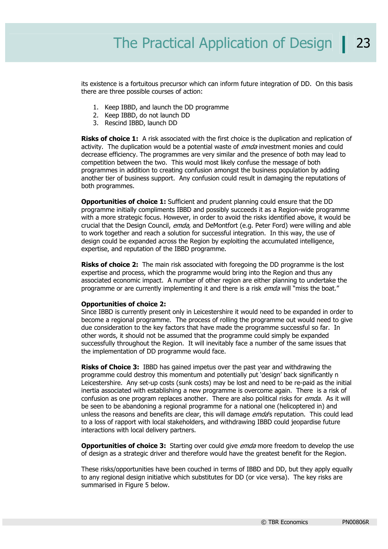its existence is a fortuitous precursor which can inform future integration of DD. On this basis there are three possible courses of action:

- 1. Keep IBBD, and launch the DD programme
- 2. Keep IBBD, do not launch DD
- 3. Rescind IBBD, launch DD

**Risks of choice 1:** A risk associated with the first choice is the duplication and replication of activity. The duplication would be a potential waste of *emda* investment monies and could decrease efficiency. The programmes are very similar and the presence of both may lead to competition between the two. This would most likely confuse the message of both programmes in addition to creating confusion amongst the business population by adding another tier of business support. Any confusion could result in damaging the reputations of both programmes.

**Opportunities of choice 1:** Sufficient and prudent planning could ensure that the DD programme initially compliments IBBD and possibly succeeds it as a Region-wide programme with a more strategic focus. However, in order to avoid the risks identified above, it would be crucial that the Design Council, emda, and DeMontfort (e.g. Peter Ford) were willing and able to work together and reach a solution for successful integration. In this way, the use of design could be expanded across the Region by exploiting the accumulated intelligence, expertise, and reputation of the IBBD programme.

**Risks of choice 2:** The main risk associated with foregoing the DD programme is the lost expertise and process, which the programme would bring into the Region and thus any associated economic impact. A number of other region are either planning to undertake the programme or are currently implementing it and there is a risk emda will "miss the boat."

#### **Opportunities of choice 2:**

Since IBBD is currently present only in Leicestershire it would need to be expanded in order to become a regional programme. The process of rolling the programme out would need to give due consideration to the key factors that have made the programme successful so far. In other words, it should not be assumed that the programme could simply be expanded successfully throughout the Region. It will inevitably face a number of the same issues that the implementation of DD programme would face.

**Risks of Choice 3:** IBBD has gained impetus over the past year and withdrawing the programme could destroy this momentum and potentially put 'design' back significantly n Leicestershire. Any set-up costs (sunk costs) may be lost and need to be re-paid as the initial inertia associated with establishing a new programme is overcome again. There is a risk of confusion as one program replaces another. There are also political risks for *emda*. As it will be seen to be abandoning a regional programme for a national one (helicoptered in) and unless the reasons and benefits are clear, this will damage *emda*'s reputation. This could lead to a loss of rapport with local stakeholders, and withdrawing IBBD could jeopardise future interactions with local delivery partners.

**Opportunities of choice 3:** Starting over could give *emda* more freedom to develop the use of design as a strategic driver and therefore would have the greatest benefit for the Region.

These risks/opportunities have been couched in terms of IBBD and DD, but they apply equally to any regional design initiative which substitutes for DD (or vice versa). The key risks are summarised in Figure 5 below.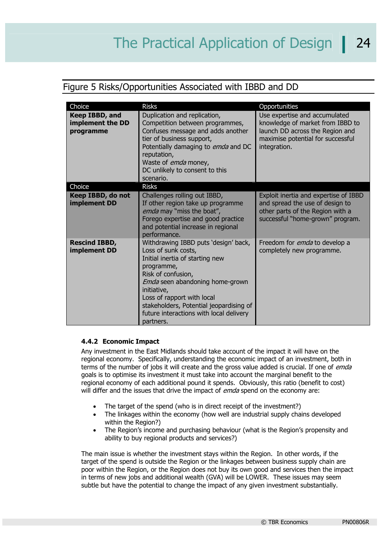## Figure 5 Risks/Opportunities Associated with IBBD and DD

| Choice                                          | <b>Risks</b>                                                                                                                                                                                                                                                                                                                 | Opportunities                                                                                                                                             |
|-------------------------------------------------|------------------------------------------------------------------------------------------------------------------------------------------------------------------------------------------------------------------------------------------------------------------------------------------------------------------------------|-----------------------------------------------------------------------------------------------------------------------------------------------------------|
| Keep IBBD, and<br>implement the DD<br>programme | Duplication and replication,<br>Competition between programmes,<br>Confuses message and adds another<br>tier of business support,<br>Potentially damaging to emda and DC<br>reputation,<br>Waste of <i>emda</i> money,<br>DC unlikely to consent to this<br>scenario.                                                        | Use expertise and accumulated<br>knowledge of market from IBBD to<br>launch DD across the Region and<br>maximise potential for successful<br>integration. |
| Choice                                          | <b>Risks</b>                                                                                                                                                                                                                                                                                                                 |                                                                                                                                                           |
| Keep IBBD, do not<br>implement DD               | Challenges rolling out IBBD,<br>If other region take up programme<br>emda may "miss the boat",<br>Forego expertise and good practice<br>and potential increase in regional<br>performance.                                                                                                                                   | Exploit inertia and expertise of IBBD<br>and spread the use of design to<br>other parts of the Region with a<br>successful "home-grown" program.          |
| <b>Rescind IBBD,</b><br>implement DD            | Withdrawing IBBD puts 'design' back,<br>Loss of sunk costs,<br>Initial inertia of starting new<br>programme,<br>Risk of confusion,<br><i>Emda</i> seen abandoning home-grown<br>initiative,<br>Loss of rapport with local<br>stakeholders, Potential jeopardising of<br>future interactions with local delivery<br>partners. | Freedom for <i>emda</i> to develop a<br>completely new programme.                                                                                         |

#### **4.4.2 Economic Impact**

Any investment in the East Midlands should take account of the impact it will have on the regional economy. Specifically, understanding the economic impact of an investment, both in terms of the number of jobs it will create and the gross value added is crucial. If one of *emda* goals is to optimise its investment it must take into account the marginal benefit to the regional economy of each additional pound it spends. Obviously, this ratio (benefit to cost) will differ and the issues that drive the impact of *emda* spend on the economy are:

- The target of the spend (who is in direct receipt of the investment?)
- The linkages within the economy (how well are industrial supply chains developed within the Region?)
- The Region's income and purchasing behaviour (what is the Region's propensity and ability to buy regional products and services?)

The main issue is whether the investment stays within the Region. In other words, if the target of the spend is outside the Region or the linkages between business supply chain are poor within the Region, or the Region does not buy its own good and services then the impact in terms of new jobs and additional wealth (GVA) will be LOWER. These issues may seem subtle but have the potential to change the impact of any given investment substantially.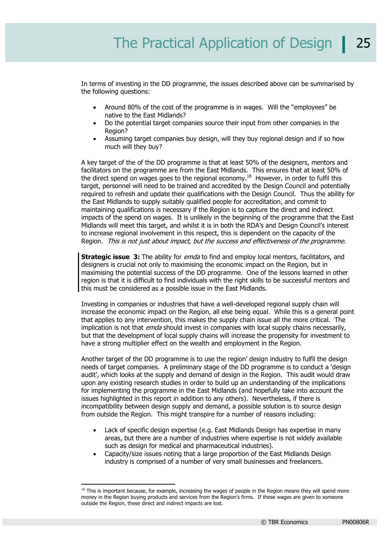In terms of investing in the DD programme, the issues described above can be summarised by the following questions:

- Around 80% of the cost of the programme is in wages. Will the "employees" be native to the East Midlands?
- Do the potential target companies source their input from other companies in the Region?
- Assuming target companies buy design, will they buy regional design and if so how much will they buy?

A key target of the of the DD programme is that at least 50% of the designers, mentors and facilitators on the programme are from the East Midlands. This ensures that at least 50% of the direct spend on wages goes to the regional economy.18 However, in order to fulfil this target, personnel will need to be trained and accredited by the Design Council and potentially required to refresh and update their qualifications with the Design Council. Thus the ability for the East Midlands to supply suitably qualified people for accreditation, and commit to maintaining qualifications is necessary if the Region is to capture the direct and indirect impacts of the spend on wages. It is unlikely in the beginning of the programme that the East Midlands will meet this target, and whilst it is in both the RDA's and Design Council's interest to increase regional involvement in this respect, this is dependent on the capacity of the Region. This is not just about impact, but the success and effectiveness of the programme.

**Strategic issue 3:** The ability for *emda* to find and employ local mentors, facilitators, and designers is crucial not only to maximising the economic impact on the Region, but in maximising the potential success of the DD programme. One of the lessons learned in other region is that it is difficult to find individuals with the right skills to be successful mentors and this must be considered as a possible issue in the East Midlands.

Investing in companies or industries that have a well-developed regional supply chain will increase the economic impact on the Region, all else being equal. While this is a general point that applies to any intervention, this makes the supply chain issue all the more critical. The implication is not that *emda* should invest in companies with local supply chains necessarily, but that the development of local supply chains will increase the propensity for investment to have a strong multiplier effect on the wealth and employment in the Region.

Another target of the DD programme is to use the region' design industry to fulfil the design needs of target companies. A preliminary stage of the DD programme is to conduct a 'design audit', which looks at the supply and demand of design in the Region. This audit would draw upon any existing research studies in order to build up an understanding of the implications for implementing the programme in the East Midlands (and hopefully take into account the issues highlighted in this report in addition to any others). Nevertheless, if there is incompatibility between design supply and demand, a possible solution is to source design from outside the Region. This might transpire for a number of reasons including:

- Lack of specific design expertise (e.g. East Midlands Design has expertise in many areas, but there are a number of industries where expertise is not widely available such as design for medical and pharmaceutical industries).
- Capacity/size issues noting that a large proportion of the East Midlands Design industry is comprised of a number of very small businesses and freelancers.

<sup>&</sup>lt;sup>18</sup> This is important because, for example, increasing the wages of people in the Region means they will spend more money in the Region buying products and services from the Region's firms. If these wages are given to someone outside the Region, these direct and indirect impacts are lost.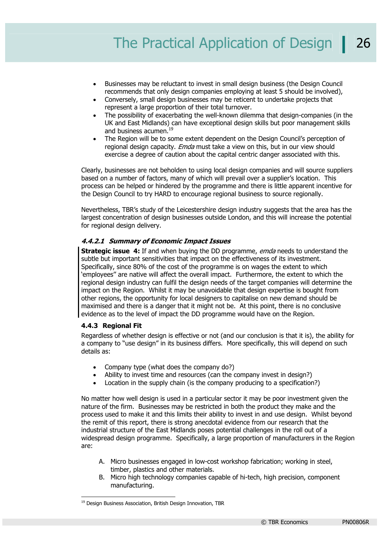- Businesses may be reluctant to invest in small design business (the Design Council recommends that only design companies employing at least 5 should be involved),
- Conversely, small design businesses may be reticent to undertake projects that represent a large proportion of their total turnover.
- The possibility of exacerbating the well-known dilemma that design-companies (in the UK and East Midlands) can have exceptional design skills but poor management skills and business acumen.<sup>19</sup>
- The Region will be to some extent dependent on the Design Council's perception of regional design capacity. *Emda* must take a view on this, but in our view should exercise a degree of caution about the capital centric danger associated with this.

Clearly, businesses are not beholden to using local design companies and will source suppliers based on a number of factors, many of which will prevail over a supplier's location. This process can be helped or hindered by the programme and there is little apparent incentive for the Design Council to try HARD to encourage regional business to source regionally.

Nevertheless, TBR's study of the Leicestershire design industry suggests that the area has the largest concentration of design businesses outside London, and this will increase the potential for regional design delivery.

#### **4.4.2.1 Summary of Economic Impact Issues**

**Strategic issue 4:** If and when buying the DD programme, *emda* needs to understand the subtle but important sensitivities that impact on the effectiveness of its investment. Specifically, since 80% of the cost of the programme is on wages the extent to which 'employees'' are native will affect the overall impact. Furthermore, the extent to which the regional design industry can fulfil the design needs of the target companies will determine the impact on the Region. Whilst it may be unavoidable that design expertise is bought from other regions, the opportunity for local designers to capitalise on new demand should be maximised and there is a danger that it might not be. At this point, there is no conclusive evidence as to the level of impact the DD programme would have on the Region.

#### **4.4.3 Regional Fit**

Regardless of whether design is effective or not (and our conclusion is that it is), the ability for a company to "use design" in its business differs. More specifically, this will depend on such details as:

- Company type (what does the company do?)
- Ability to invest time and resources (can the company invest in design?)
- Location in the supply chain (is the company producing to a specification?)

No matter how well design is used in a particular sector it may be poor investment given the nature of the firm. Businesses may be restricted in both the product they make and the process used to make it and this limits their ability to invest in and use design. Whilst beyond the remit of this report, there is strong anecdotal evidence from our research that the industrial structure of the East Midlands poses potential challenges in the roll out of a widespread design programme. Specifically, a large proportion of manufacturers in the Region are:

- A. Micro businesses engaged in low-cost workshop fabrication; working in steel, timber, plastics and other materials.
- B. Micro high technology companies capable of hi-tech, high precision, component manufacturing.

<sup>1</sup> <sup>19</sup> Design Business Association, British Design Innovation, TBR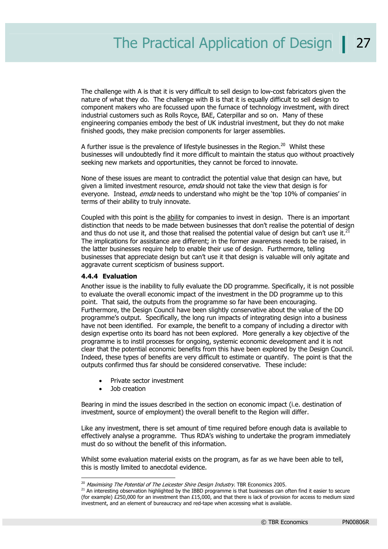The challenge with A is that it is very difficult to sell design to low-cost fabricators given the nature of what they do. The challenge with B is that it is equally difficult to sell design to component makers who are focussed upon the furnace of technology investment, with direct industrial customers such as Rolls Royce, BAE, Caterpillar and so on. Many of these engineering companies embody the best of UK industrial investment, but they do not make finished goods, they make precision components for larger assemblies.

A further issue is the prevalence of lifestyle businesses in the Region.<sup>20</sup> Whilst these businesses will undoubtedly find it more difficult to maintain the status quo without proactively seeking new markets and opportunities, they cannot be forced to innovate.

None of these issues are meant to contradict the potential value that design can have, but given a limited investment resource, emda should not take the view that design is for everyone. Instead, *emda* needs to understand who might be the 'top 10% of companies' in terms of their ability to truly innovate.

Coupled with this point is the ability for companies to invest in design. There is an important distinction that needs to be made between businesses that don't realise the potential of design and thus do not use it, and those that realised the potential value of design but can't use it.<sup>21</sup> The implications for assistance are different; in the former awareness needs to be raised, in the latter businesses require help to enable their use of design. Furthermore, telling businesses that appreciate design but can't use it that design is valuable will only agitate and aggravate current scepticism of business support.

#### **4.4.4 Evaluation**

Another issue is the inability to fully evaluate the DD programme. Specifically, it is not possible to evaluate the overall economic impact of the investment in the DD programme up to this point. That said, the outputs from the programme so far have been encouraging. Furthermore, the Design Council have been slightly conservative about the value of the DD programme's output. Specifically, the long run impacts of integrating design into a business have not been identified. For example, the benefit to a company of including a director with design expertise onto its board has not been explored. More generally a key objective of the programme is to instil processes for ongoing, systemic economic development and it is not clear that the potential economic benefits from this have been explored by the Design Council. Indeed, these types of benefits are very difficult to estimate or quantify. The point is that the outputs confirmed thus far should be considered conservative. These include:

- Private sector investment
- Job creation

-

Bearing in mind the issues described in the section on economic impact (i.e. destination of investment, source of employment) the overall benefit to the Region will differ.

Like any investment, there is set amount of time required before enough data is available to effectively analyse a programme. Thus RDA's wishing to undertake the program immediately must do so without the benefit of this information.

Whilst some evaluation material exists on the program, as far as we have been able to tell, this is mostly limited to anecdotal evidence.

<sup>&</sup>lt;sup>20</sup> Maximising The Potential of The Leicester Shire Design Industry. TBR Economics 2005.<br><sup>21</sup> An interesting observation highlighted by the IBBD programme is that businesses can often find it easier to secure (for example) £250,000 for an investment than £15,000, and that there is lack of provision for access to medium sized investment, and an element of bureaucracy and red-tape when accessing what is available.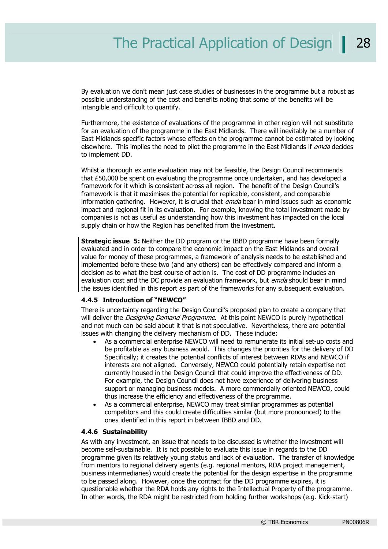By evaluation we don't mean just case studies of businesses in the programme but a robust as possible understanding of the cost and benefits noting that some of the benefits will be intangible and difficult to quantify.

Furthermore, the existence of evaluations of the programme in other region will not substitute for an evaluation of the programme in the East Midlands. There will inevitably be a number of East Midlands specific factors whose effects on the programme cannot be estimated by looking elsewhere. This implies the need to pilot the programme in the East Midlands if *emda* decides to implement DD.

Whilst a thorough ex ante evaluation may not be feasible, the Design Council recommends that £50,000 be spent on evaluating the programme once undertaken, and has developed a framework for it which is consistent across all region. The benefit of the Design Council's framework is that it maximises the potential for replicable, consistent, and comparable information gathering. However, it is crucial that *emda* bear in mind issues such as economic impact and regional fit in its evaluation. For example, knowing the total investment made by companies is not as useful as understanding how this investment has impacted on the local supply chain or how the Region has benefited from the investment.

**Strategic issue 5:** Neither the DD program or the IBBD programme have been formally evaluated and in order to compare the economic impact on the East Midlands and overall value for money of these programmes, a framework of analysis needs to be established and implemented before these two (and any others) can be effectively compared and inform a decision as to what the best course of action is. The cost of DD programme includes an evaluation cost and the DC provide an evaluation framework, but emda should bear in mind the issues identified in this report as part of the frameworks for any subsequent evaluation.

#### **4.4.5 Introduction of "NEWCO"**

There is uncertainty regarding the Design Council's proposed plan to create a company that will deliver the *Designing Demand Programme*. At this point NEWCO is purely hypothetical and not much can be said about it that is not speculative. Nevertheless, there are potential issues with changing the delivery mechanism of DD. These include:

- As a commercial enterprise NEWCO will need to remunerate its initial set-up costs and be profitable as any business would. This changes the priorities for the delivery of DD Specifically; it creates the potential conflicts of interest between RDAs and NEWCO if interests are not aligned. Conversely, NEWCO could potentially retain expertise not currently housed in the Design Council that could improve the effectiveness of DD. For example, the Design Council does not have experience of delivering business support or managing business models. A more commercially oriented NEWCO, could thus increase the efficiency and effectiveness of the programme.
- As a commercial enterprise, NEWCO may treat similar programmes as potential competitors and this could create difficulties similar (but more pronounced) to the ones identified in this report in between IBBD and DD.

#### **4.4.6 Sustainability**

As with any investment, an issue that needs to be discussed is whether the investment will become self-sustainable. It is not possible to evaluate this issue in regards to the DD programme given its relatively young status and lack of evaluation. The transfer of knowledge from mentors to regional delivery agents (e.g. regional mentors, RDA project management, business intermediaries) would create the potential for the design expertise in the programme to be passed along. However, once the contract for the DD programme expires, it is questionable whether the RDA holds any rights to the Intellectual Property of the programme. In other words, the RDA might be restricted from holding further workshops (e.g. Kick-start)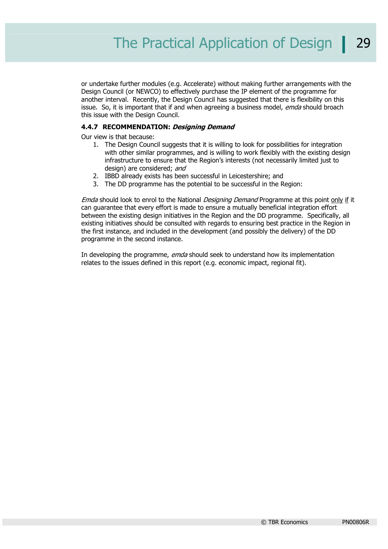or undertake further modules (e.g. Accelerate) without making further arrangements with the Design Council (or NEWCO) to effectively purchase the IP element of the programme for another interval. Recently, the Design Council has suggested that there is flexibility on this issue. So, it is important that if and when agreeing a business model, emda should broach this issue with the Design Council.

#### **4.4.7 RECOMMENDATION: Designing Demand**

Our view is that because:

- 1. The Design Council suggests that it is willing to look for possibilities for integration with other similar programmes, and is willing to work flexibly with the existing design infrastructure to ensure that the Region's interests (not necessarily limited just to design) are considered; and
- 2. IBBD already exists has been successful in Leicestershire; and
- 3. The DD programme has the potential to be successful in the Region:

Emda should look to enrol to the National *Designing Demand* Programme at this point only if it can guarantee that every effort is made to ensure a mutually beneficial integration effort between the existing design initiatives in the Region and the DD programme. Specifically, all existing initiatives should be consulted with regards to ensuring best practice in the Region in the first instance, and included in the development (and possibly the delivery) of the DD programme in the second instance.

In developing the programme, emda should seek to understand how its implementation relates to the issues defined in this report (e.g. economic impact, regional fit).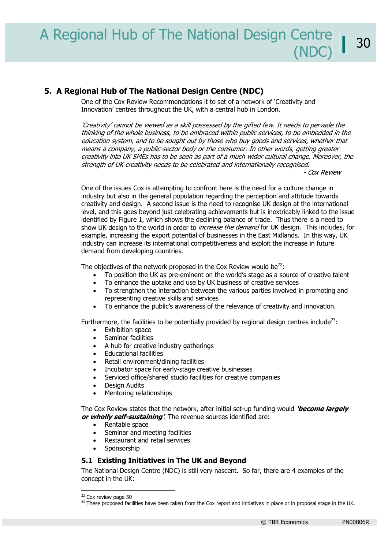#### **5. A Regional Hub of The National Design Centre (NDC)**

One of the Cox Review Recommendations it to set of a network of 'Creativity and Innovation' centres throughout the UK, with a central hub in London.

'Creativity' cannot be viewed as a skill possessed by the gifted few. It needs to pervade the thinking of the whole business, to be embraced within public services, to be embedded in the education system, and to be sought out by those who buy goods and services, whether that means a company, a public-sector body or the consumer. In other words, getting greater creativity into UK SMEs has to be seen as part of a much wider cultural change. Moreover, the strength of UK creativity needs to be celebrated and internationally recognised.

- Cox Review

One of the issues Cox is attempting to confront here is the need for a culture change in industry but also in the general population regarding the perception and attitude towards creativity and design. A second issue is the need to recognise UK design at the international level, and this goes beyond just celebrating achievements but is inextricably linked to the issue identified by Figure 1, which shows the declining balance of trade. Thus there is a need to show UK design to the world in order to *increase the demand* for UK design. This includes, for example, increasing the export potential of businesses in the East Midlands. In this way, UK industry can increase its international competitiveness and exploit the increase in future demand from developing countries.

The objectives of the network proposed in the Cox Review would be $^{22}$ :

- To position the UK as pre-eminent on the world's stage as a source of creative talent
- To enhance the uptake and use by UK business of creative services
- To strengthen the interaction between the various parties involved in promoting and representing creative skills and services
- To enhance the public's awareness of the relevance of creativity and innovation.

Furthermore, the facilities to be potentially provided by regional design centres include<sup>23</sup>:

- Exhibition space
- Seminar facilities
- A hub for creative industry gatherings
- Educational facilities
- Retail environment/dining facilities
- Incubator space for early-stage creative businesses
- Serviced office/shared studio facilities for creative companies
- Design Audits
- Mentoring relationships

The Cox Review states that the network, after initial set-up funding would **'become largely or wholly self-sustaining'**. The revenue sources identified are:

- Rentable space
- Seminar and meeting facilities
- Restaurant and retail services
- **Sponsorship**

#### **5.1 Existing Initiatives in The UK and Beyond**

The National Design Centre (NDC) is still very nascent. So far, there are 4 examples of the concept in the UK:

 $22$  Cox review page 50

<sup>&</sup>lt;sup>23</sup> These proposed facilities have been taken from the Cox report and initiatives in place or in proposal stage in the UK.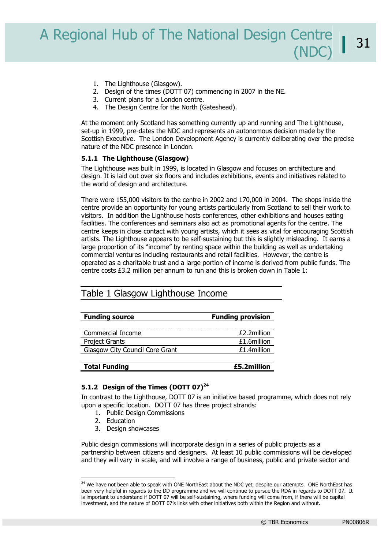- 1. The Lighthouse (Glasgow).
- 2. Design of the times (DOTT 07) commencing in 2007 in the NE.
- 3. Current plans for a London centre.
- 4. The Design Centre for the North (Gateshead).

At the moment only Scotland has something currently up and running and The Lighthouse, set-up in 1999, pre-dates the NDC and represents an autonomous decision made by the Scottish Executive. The London Development Agency is currently deliberating over the precise nature of the NDC presence in London.

#### **5.1.1 The Lighthouse (Glasgow)**

The Lighthouse was built in 1999, is located in Glasgow and focuses on architecture and design. It is laid out over six floors and includes exhibitions, events and initiatives related to the world of design and architecture.

There were 155,000 visitors to the centre in 2002 and 170,000 in 2004. The shops inside the centre provide an opportunity for young artists particularly from Scotland to sell their work to visitors. In addition the Lighthouse hosts conferences, other exhibitions and houses eating facilities. The conferences and seminars also act as promotional agents for the centre. The centre keeps in close contact with young artists, which it sees as vital for encouraging Scottish artists. The Lighthouse appears to be self-sustaining but this is slightly misleading. It earns a large proportion of its "income" by renting space within the building as well as undertaking commercial ventures including restaurants and retail facilities. However, the centre is operated as a charitable trust and a large portion of income is derived from public funds. The centre costs £3.2 million per annum to run and this is broken down in Table 1:

## Table 1 Glasgow Lighthouse Income

| <b>Funding source</b>           | <b>Funding provision</b> |
|---------------------------------|--------------------------|
| Commercial Income               | £2.2million              |
| Project Grants                  | £1.6million              |
| Glasgow City Council Core Grant | £1.4million              |
|                                 |                          |
| <b>Total Funding</b>            | £5.2million              |

#### **5.1.2 Design of the Times (DOTT 07)<sup>24</sup>**

In contrast to the Lighthouse, DOTT 07 is an initiative based programme, which does not rely upon a specific location. DOTT 07 has three project strands:

- 1. Public Design Commissions
- 2. Education

3. Design showcases

Public design commissions will incorporate design in a series of public projects as a partnership between citizens and designers. At least 10 public commissions will be developed and they will vary in scale, and will involve a range of business, public and private sector and

<sup>&</sup>lt;sup>24</sup> We have not been able to speak with ONE NorthEast about the NDC yet, despite our attempts. ONE NorthEast has been very helpful in regards to the DD programme and we will continue to pursue the RDA in regards to DOTT 07. It is important to understand if DOTT 07 will be self-sustaining, where funding will come from, if there will be capital investment, and the nature of DOTT 07's links with other initiatives both within the Region and without.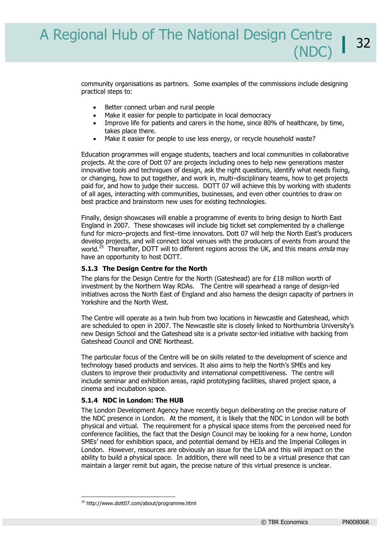community organisations as partners. Some examples of the commissions include designing practical steps to:

- Better connect urban and rural people
- Make it easier for people to participate in local democracy
- Improve life for patients and carers in the home, since 80% of healthcare, by time, takes place there.
- Make it easier for people to use less energy, or recycle household waste?

Education programmes will engage students, teachers and local communities in collaborative projects. At the core of Dott 07 are projects including ones to help new generations master innovative tools and techniques of design, ask the right questions, identify what needs fixing, or changing, how to put together, and work in, multi–disciplinary teams, how to get projects paid for, and how to judge their success. DOTT 07 will achieve this by working with students of all ages, interacting with communities, businesses, and even other countries to draw on best practice and brainstorm new uses for existing technologies.

Finally, design showcases will enable a programme of events to bring design to North East England in 2007. These showcases will include big ticket set complemented by a challenge fund for micro–projects and first–time innovators. Dott 07 will help the North East's producers develop projects, and will connect local venues with the producers of events from around the world.<sup>25</sup> Thereafter, DOTT will to different regions across the UK, and this means *emda* may have an opportunity to host DOTT.

#### **5.1.3 The Design Centre for the North**

The plans for the Design Centre for the North (Gateshead) are for  $£18$  million worth of investment by the Northern Way RDAs. The Centre will spearhead a range of design-led initiatives across the North East of England and also harness the design capacity of partners in Yorkshire and the North West.

The Centre will operate as a twin hub from two locations in Newcastle and Gateshead, which are scheduled to open in 2007. The Newcastle site is closely linked to Northumbria University's new Design School and the Gateshead site is a private sector-led initiative with backing from Gateshead Council and ONE Northeast.

The particular focus of the Centre will be on skills related to the development of science and technology based products and services. It also aims to help the North's SMEs and key clusters to improve their productivity and international competitiveness. The centre will include seminar and exhibition areas, rapid prototyping facilities, shared project space, a cinema and incubation space.

#### **5.1.4 NDC in London: The HUB**

The London Development Agency have recently begun deliberating on the precise nature of the NDC presence in London. At the moment, it is likely that the NDC in London will be both physical and virtual. The requirement for a physical space stems from the perceived need for conference facilities, the fact that the Design Council may be looking for a new home, London SMEs' need for exhibition space, and potential demand by HEIs and the Imperial Colleges in London. However, resources are obviously an issue for the LDA and this will impact on the ability to build a physical space. In addition, there will need to be a virtual presence that can maintain a larger remit but again, the precise nature of this virtual presence is unclear.

<sup>25</sup> http://www.dott07.com/about/programme.html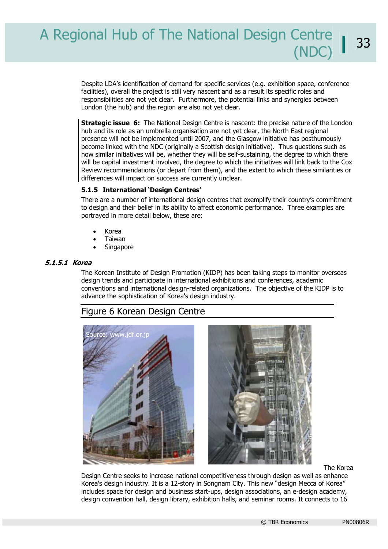Despite LDA's identification of demand for specific services (e.g. exhibition space, conference facilities), overall the project is still very nascent and as a result its specific roles and responsibilities are not yet clear. Furthermore, the potential links and synergies between London (the hub) and the region are also not yet clear.

**Strategic issue 6:** The National Design Centre is nascent: the precise nature of the London hub and its role as an umbrella organisation are not yet clear, the North East regional presence will not be implemented until 2007, and the Glasgow initiative has posthumously become linked with the NDC (originally a Scottish design initiative). Thus questions such as how similar initiatives will be, whether they will be self-sustaining, the degree to which there will be capital investment involved, the degree to which the initiatives will link back to the Cox Review recommendations (or depart from them), and the extent to which these similarities or differences will impact on success are currently unclear.

#### **5.1.5 International 'Design Centres'**

There are a number of international design centres that exemplify their country's commitment to design and their belief in its ability to affect economic performance. Three examples are portrayed in more detail below, these are:

- Korea
- Taiwan
- **Singapore**

#### **5.1.5.1 Korea**

The Korean Institute of Design Promotion (KIDP) has been taking steps to monitor overseas design trends and participate in international exhibitions and conferences, academic conventions and international design-related organizations. The objective of the KIDP is to advance the sophistication of Korea's design industry.

## Figure 6 Korean Design Centre





The Korea

Design Centre seeks to increase national competitiveness through design as well as enhance Korea's design industry. It is a 12-story in Songnam City. This new "design Mecca of Korea" includes space for design and business start-ups, design associations, an e-design academy, design convention hall, design library, exhibition halls, and seminar rooms. It connects to 16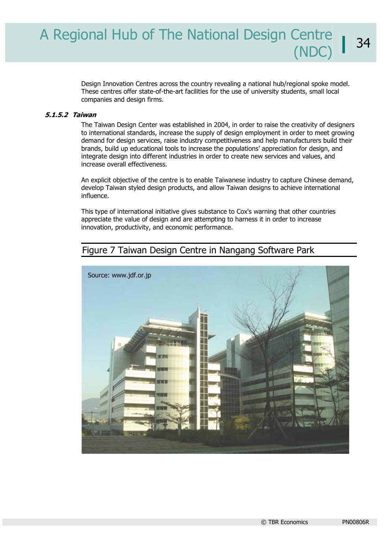Design Innovation Centres across the country revealing a national hub/regional spoke model. These centres offer state-of-the-art facilities for the use of university students, small local companies and design firms.

#### **5.1.5.2 Taiwan**

The Taiwan Design Center was established in 2004, in order to raise the creativity of designers to international standards, increase the supply of design employment in order to meet growing demand for design services, raise industry competitiveness and help manufacturers build their brands, build up educational tools to increase the populations' appreciation for design, and integrate design into different industries in order to create new services and values, and increase overall effectiveness.

An explicit objective of the centre is to enable Taiwanese industry to capture Chinese demand, develop Taiwan styled design products, and allow Taiwan designs to achieve international influence.

This type of international initiative gives substance to Cox's warning that other countries appreciate the value of design and are attempting to harness it in order to increase innovation, productivity, and economic performance.

# Figure 7 Taiwan Design Centre in Nangang Software Park

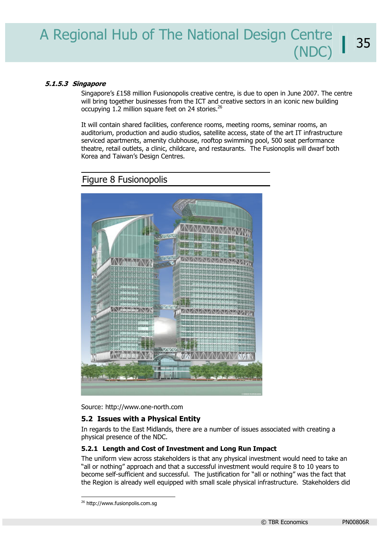#### **5.1.5.3 Singapore**

Singapore's £158 million Fusionopolis creative centre, is due to open in June 2007. The centre will bring together businesses from the ICT and creative sectors in an iconic new building occupying 1.2 million square feet on 24 stories.<sup>26</sup>

It will contain shared facilities, conference rooms, meeting rooms, seminar rooms, an auditorium, production and audio studios, satellite access, state of the art IT infrastructure serviced apartments, amenity clubhouse, rooftop swimming pool, 500 seat performance theatre, retail outlets, a clinic, childcare, and restaurants. The Fusionoplis will dwarf both Korea and Taiwan's Design Centres.

# *NAMAT* 日野 EF. ZNZNZNZNZNZNZ WAYNA **ZNANZNENZNENENZN** *DINK*

# Figure 8 Fusionopolis

Source: http://www.one-north.com

#### **5.2 Issues with a Physical Entity**

In regards to the East Midlands, there are a number of issues associated with creating a physical presence of the NDC.

#### **5.2.1 Length and Cost of Investment and Long Run Impact**

The uniform view across stakeholders is that any physical investment would need to take an "all or nothing" approach and that a successful investment would require 8 to 10 years to become self-sufficient and successful. The justification for "all or nothing" was the fact that the Region is already well equipped with small scale physical infrastructure. Stakeholders did

<sup>&</sup>lt;sup>26</sup> http://www.fusionpolis.com.sg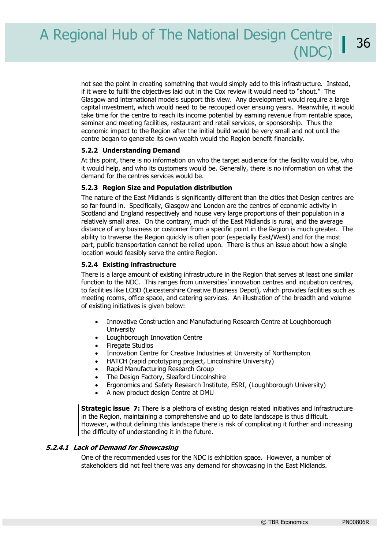not see the point in creating something that would simply add to this infrastructure. Instead, if it were to fulfil the objectives laid out in the Cox review it would need to "shout." The Glasgow and international models support this view. Any development would require a large capital investment, which would need to be recouped over ensuing years. Meanwhile, it would take time for the centre to reach its income potential by earning revenue from rentable space, seminar and meeting facilities, restaurant and retail services, or sponsorship. Thus the economic impact to the Region after the initial build would be very small and not until the centre began to generate its own wealth would the Region benefit financially.

#### **5.2.2 Understanding Demand**

At this point, there is no information on who the target audience for the facility would be, who it would help, and who its customers would be. Generally, there is no information on what the demand for the centres services would be.

#### **5.2.3 Region Size and Population distribution**

The nature of the East Midlands is significantly different than the cities that Design centres are so far found in. Specifically, Glasgow and London are the centres of economic activity in Scotland and England respectively and house very large proportions of their population in a relatively small area. On the contrary, much of the East Midlands is rural, and the average distance of any business or customer from a specific point in the Region is much greater. The ability to traverse the Region quickly is often poor (especially East/West) and for the most part, public transportation cannot be relied upon. There is thus an issue about how a single location would feasibly serve the entire Region.

#### **5.2.4 Existing infrastructure**

There is a large amount of existing infrastructure in the Region that serves at least one similar function to the NDC. This ranges from universities' innovation centres and incubation centres, to facilities like LCBD (Leicestershire Creative Business Depot), which provides facilities such as meeting rooms, office space, and catering services. An illustration of the breadth and volume of existing initiatives is given below:

- Innovative Construction and Manufacturing Research Centre at Loughborough **University**
- Loughborough Innovation Centre
- **Firegate Studios**
- Innovation Centre for Creative Industries at University of Northampton
- HATCH (rapid prototyping project, Lincolnshire University)
- Rapid Manufacturing Research Group
- The Design Factory, Sleaford Lincolnshire
- Ergonomics and Safety Research Institute, ESRI, (Loughborough University)
- A new product design Centre at DMU

**Strategic issue 7:** There is a plethora of existing design related initiatives and infrastructure in the Region, maintaining a comprehensive and up to date landscape is thus difficult. However, without defining this landscape there is risk of complicating it further and increasing the difficulty of understanding it in the future.

#### **5.2.4.1 Lack of Demand for Showcasing**

One of the recommended uses for the NDC is exhibition space. However, a number of stakeholders did not feel there was any demand for showcasing in the East Midlands.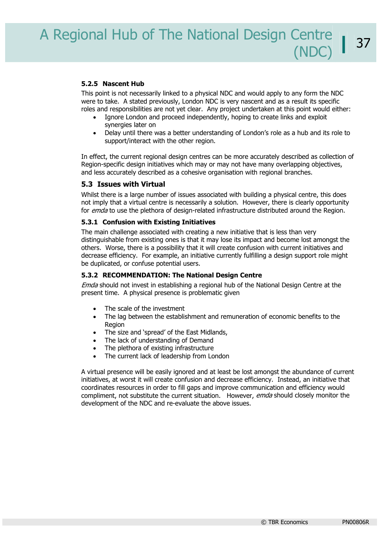#### **5.2.5 Nascent Hub**

This point is not necessarily linked to a physical NDC and would apply to any form the NDC were to take. A stated previously, London NDC is very nascent and as a result its specific roles and responsibilities are not yet clear. Any project undertaken at this point would either:

- Ignore London and proceed independently, hoping to create links and exploit synergies later on
- Delay until there was a better understanding of London's role as a hub and its role to support/interact with the other region.

In effect, the current regional design centres can be more accurately described as collection of Region-specific design initiatives which may or may not have many overlapping objectives, and less accurately described as a cohesive organisation with regional branches.

#### **5.3 Issues with Virtual**

Whilst there is a large number of issues associated with building a physical centre, this does not imply that a virtual centre is necessarily a solution. However, there is clearly opportunity for *emda* to use the plethora of design-related infrastructure distributed around the Region.

#### **5.3.1 Confusion with Existing Initiatives**

The main challenge associated with creating a new initiative that is less than very distinguishable from existing ones is that it may lose its impact and become lost amongst the others. Worse, there is a possibility that it will create confusion with current initiatives and decrease efficiency. For example, an initiative currently fulfilling a design support role might be duplicated, or confuse potential users.

#### **5.3.2 RECOMMENDATION: The National Design Centre**

Emda should not invest in establishing a regional hub of the National Design Centre at the present time. A physical presence is problematic given

- The scale of the investment
- The lag between the establishment and remuneration of economic benefits to the Region
- The size and 'spread' of the East Midlands,
- The lack of understanding of Demand
- The plethora of existing infrastructure
- The current lack of leadership from London

A virtual presence will be easily ignored and at least be lost amongst the abundance of current initiatives, at worst it will create confusion and decrease efficiency. Instead, an initiative that coordinates resources in order to fill gaps and improve communication and efficiency would compliment, not substitute the current situation. However, emda should closely monitor the development of the NDC and re-evaluate the above issues.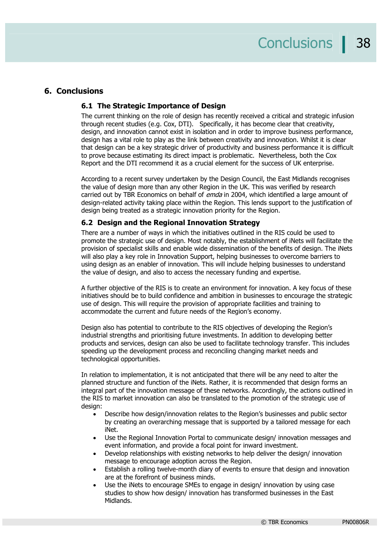#### **6. Conclusions**

#### **6.1 The Strategic Importance of Design**

The current thinking on the role of design has recently received a critical and strategic infusion through recent studies (e.g. Cox, DTI). Specifically, it has become clear that creativity, design, and innovation cannot exist in isolation and in order to improve business performance, design has a vital role to play as the link between creativity and innovation. Whilst it is clear that design can be a key strategic driver of productivity and business performance it is difficult to prove because estimating its direct impact is problematic. Nevertheless, both the Cox Report and the DTI recommend it as a crucial element for the success of UK enterprise.

According to a recent survey undertaken by the Design Council, the East Midlands recognises the value of design more than any other Region in the UK. This was verified by research carried out by TBR Economics on behalf of *emda* in 2004, which identified a large amount of design-related activity taking place within the Region. This lends support to the justification of design being treated as a strategic innovation priority for the Region.

#### **6.2 Design and the Regional Innovation Strategy**

There are a number of ways in which the initiatives outlined in the RIS could be used to promote the strategic use of design. Most notably, the establishment of iNets will facilitate the provision of specialist skills and enable wide dissemination of the benefits of design. The iNets will also play a key role in Innovation Support, helping businesses to overcome barriers to using design as an enabler of innovation. This will include helping businesses to understand the value of design, and also to access the necessary funding and expertise.

A further objective of the RIS is to create an environment for innovation. A key focus of these initiatives should be to build confidence and ambition in businesses to encourage the strategic use of design. This will require the provision of appropriate facilities and training to accommodate the current and future needs of the Region's economy.

Design also has potential to contribute to the RIS objectives of developing the Region's industrial strengths and prioritising future investments. In addition to developing better products and services, design can also be used to facilitate technology transfer. This includes speeding up the development process and reconciling changing market needs and technological opportunities.

In relation to implementation, it is not anticipated that there will be any need to alter the planned structure and function of the iNets. Rather, it is recommended that design forms an integral part of the innovation message of these networks. Accordingly, the actions outlined in the RIS to market innovation can also be translated to the promotion of the strategic use of design:

- Describe how design/innovation relates to the Region's businesses and public sector by creating an overarching message that is supported by a tailored message for each iNet.
- Use the Regional Innovation Portal to communicate design/ innovation messages and event information, and provide a focal point for inward investment.
- Develop relationships with existing networks to help deliver the design/ innovation message to encourage adoption across the Region.
- Establish a rolling twelve-month diary of events to ensure that design and innovation are at the forefront of business minds.
- Use the iNets to encourage SMEs to engage in design/ innovation by using case studies to show how design/ innovation has transformed businesses in the East Midlands.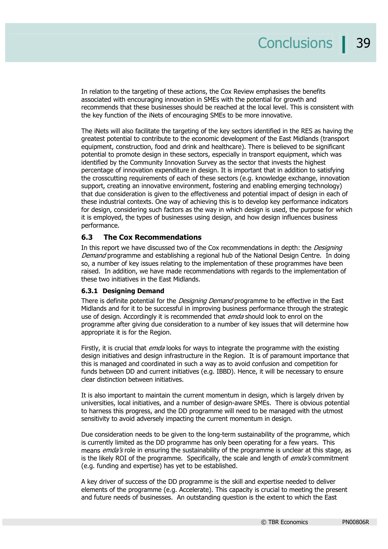In relation to the targeting of these actions, the Cox Review emphasises the benefits associated with encouraging innovation in SMEs with the potential for growth and recommends that these businesses should be reached at the local level. This is consistent with the key function of the iNets of encouraging SMEs to be more innovative.

The iNets will also facilitate the targeting of the key sectors identified in the RES as having the greatest potential to contribute to the economic development of the East Midlands (transport equipment, construction, food and drink and healthcare). There is believed to be significant potential to promote design in these sectors, especially in transport equipment, which was identified by the Community Innovation Survey as the sector that invests the highest percentage of innovation expenditure in design. It is important that in addition to satisfying the crosscutting requirements of each of these sectors (e.g. knowledge exchange, innovation support, creating an innovative environment, fostering and enabling emerging technology) that due consideration is given to the effectiveness and potential impact of design in each of these industrial contexts. One way of achieving this is to develop key performance indicators for design, considering such factors as the way in which design is used, the purpose for which it is employed, the types of businesses using design, and how design influences business performance.

#### **6.3 The Cox Recommendations**

In this report we have discussed two of the Cox recommendations in depth: the *Designing* Demand programme and establishing a regional hub of the National Design Centre. In doing so, a number of key issues relating to the implementation of these programmes have been raised. In addition, we have made recommendations with regards to the implementation of these two initiatives in the East Midlands.

#### **6.3.1 Designing Demand**

There is definite potential for the *Designing Demand* programme to be effective in the East Midlands and for it to be successful in improving business performance through the strategic use of design. Accordingly it is recommended that *emda* should look to enrol on the programme after giving due consideration to a number of key issues that will determine how appropriate it is for the Region.

Firstly, it is crucial that *emda* looks for ways to integrate the programme with the existing design initiatives and design infrastructure in the Region. It is of paramount importance that this is managed and coordinated in such a way as to avoid confusion and competition for funds between DD and current initiatives (e.g. IBBD). Hence, it will be necessary to ensure clear distinction between initiatives.

It is also important to maintain the current momentum in design, which is largely driven by universities, local initiatives, and a number of design-aware SMEs. There is obvious potential to harness this progress, and the DD programme will need to be managed with the utmost sensitivity to avoid adversely impacting the current momentum in design.

Due consideration needs to be given to the long-term sustainability of the programme, which is currently limited as the DD programme has only been operating for a few years. This means *emda's* role in ensuring the sustainability of the programme is unclear at this stage, as is the likely ROI of the programme. Specifically, the scale and length of *emda's* commitment (e.g. funding and expertise) has yet to be established.

A key driver of success of the DD programme is the skill and expertise needed to deliver elements of the programme (e.g. Accelerate). This capacity is crucial to meeting the present and future needs of businesses. An outstanding question is the extent to which the East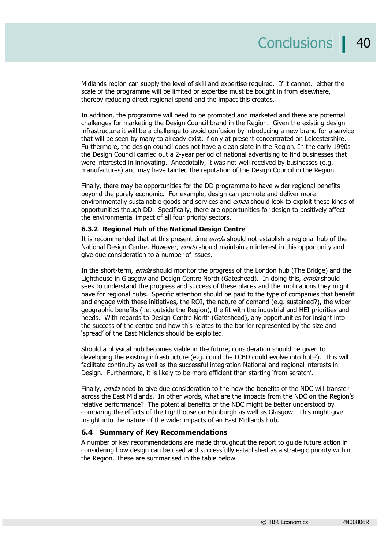Midlands region can supply the level of skill and expertise required. If it cannot, either the scale of the programme will be limited or expertise must be bought in from elsewhere, thereby reducing direct regional spend and the impact this creates.

In addition, the programme will need to be promoted and marketed and there are potential challenges for marketing the Design Council brand in the Region. Given the existing design infrastructure it will be a challenge to avoid confusion by introducing a new brand for a service that will be seen by many to already exist, if only at present concentrated on Leicestershire. Furthermore, the design council does not have a clean slate in the Region. In the early 1990s the Design Council carried out a 2-year period of national advertising to find businesses that were interested in innovating. Anecdotally, it was not well received by businesses (e.g. manufactures) and may have tainted the reputation of the Design Council in the Region.

Finally, there may be opportunities for the DD programme to have wider regional benefits beyond the purely economic. For example, design can promote and deliver more environmentally sustainable goods and services and *emda* should look to exploit these kinds of opportunities though DD. Specifically, there are opportunities for design to positively affect the environmental impact of all four priority sectors.

#### **6.3.2 Regional Hub of the National Design Centre**

It is recommended that at this present time *emda* should not establish a regional hub of the National Design Centre. However, *emda* should maintain an interest in this opportunity and give due consideration to a number of issues.

In the short-term, emda should monitor the progress of the London hub (The Bridge) and the Lighthouse in Glasgow and Design Centre North (Gateshead). In doing this, emda should seek to understand the progress and success of these places and the implications they might have for regional hubs. Specific attention should be paid to the type of companies that benefit and engage with these initiatives, the ROI, the nature of demand (e.g. sustained?), the wider geographic benefits (i.e. outside the Region), the fit with the industrial and HEI priorities and needs. With regards to Design Centre North (Gateshead), any opportunities for insight into the success of the centre and how this relates to the barrier represented by the size and 'spread' of the East Midlands should be exploited.

Should a physical hub becomes viable in the future, consideration should be given to developing the existing infrastructure (e.g. could the LCBD could evolve into hub?). This will facilitate continuity as well as the successful integration National and regional interests in Design. Furthermore, it is likely to be more efficient than starting 'from scratch'.

Finally, emda need to give due consideration to the how the benefits of the NDC will transfer across the East Midlands. In other words, what are the impacts from the NDC on the Region's relative performance? The potential benefits of the NDC might be better understood by comparing the effects of the Lighthouse on Edinburgh as well as Glasgow. This might give insight into the nature of the wider impacts of an East Midlands hub.

#### **6.4 Summary of Key Recommendations**

A number of key recommendations are made throughout the report to guide future action in considering how design can be used and successfully established as a strategic priority within the Region. These are summarised in the table below.